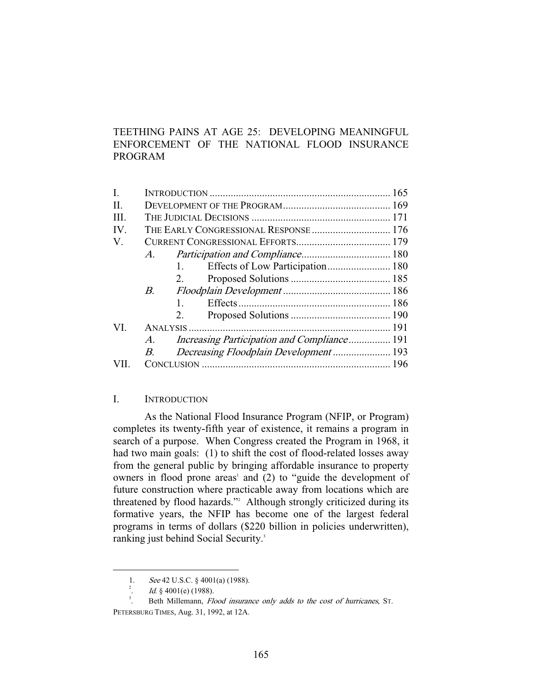# TEETHING PAINS AT AGE 25: DEVELOPING MEANINGFUL ENFORCEMENT OF THE NATIONAL FLOOD INSURANCE PROGRAM

|             | 1.          |                                                                                       |
|-------------|-------------|---------------------------------------------------------------------------------------|
|             | 2.          |                                                                                       |
| $B_{\cdot}$ |             |                                                                                       |
|             | $1_{\cdot}$ |                                                                                       |
|             | 2.          |                                                                                       |
| VI.         |             |                                                                                       |
| $A_{\cdot}$ |             |                                                                                       |
| В.          |             |                                                                                       |
|             |             |                                                                                       |
|             |             | THE EARLY CONGRESSIONAL RESPONSE  176<br>A.<br>Decreasing Floodplain Development  193 |

# I. INTRODUCTION

 As the National Flood Insurance Program (NFIP, or Program) completes its twenty-fifth year of existence, it remains a program in search of a purpose. When Congress created the Program in 1968, it had two main goals: (1) to shift the cost of flood-related losses away from the general public by bringing affordable insurance to property owners in flood prone areas' and (2) to "guide the development of future construction where practicable away from locations which are threatened by flood hazards."2 Although strongly criticized during its formative years, the NFIP has become one of the largest federal programs in terms of dollars (\$220 billion in policies underwritten), ranking just behind Social Security.<sup>3</sup>

-

<sup>1.</sup> See 42 U.S.C. § 4001(a) (1988).<br>
<sup>2</sup>. *Id.* § 4001(e) (1988).

 $Id.$  § 4001(e) (1988).

<sup>.</sup> Beth Millemann, Flood insurance only adds to the cost of hurricanes, ST. PETERSBURG TIMES, Aug. 31, 1992, at 12A.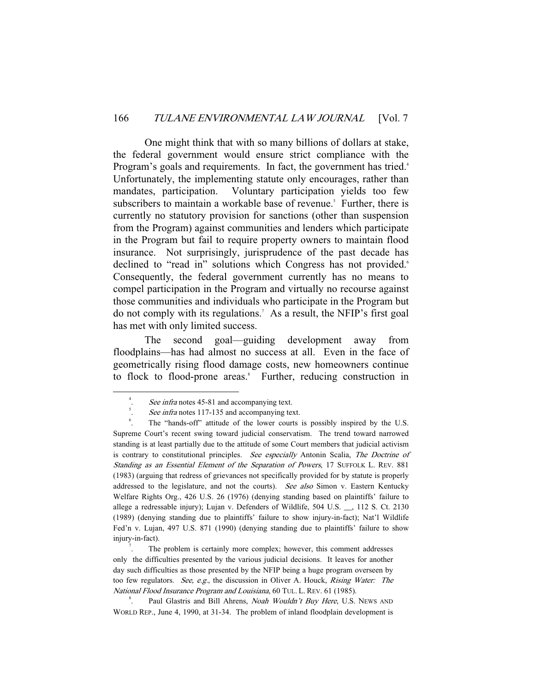One might think that with so many billions of dollars at stake, the federal government would ensure strict compliance with the Program's goals and requirements. In fact, the government has tried.<sup>4</sup> Unfortunately, the implementing statute only encourages, rather than mandates, participation. Voluntary participation yields too few subscribers to maintain a workable base of revenue.<sup>5</sup> Further, there is currently no statutory provision for sanctions (other than suspension from the Program) against communities and lenders which participate in the Program but fail to require property owners to maintain flood insurance. Not surprisingly, jurisprudence of the past decade has declined to "read in" solutions which Congress has not provided.<sup>6</sup> Consequently, the federal government currently has no means to compel participation in the Program and virtually no recourse against those communities and individuals who participate in the Program but do not comply with its regulations.7 As a result, the NFIP's first goal has met with only limited success.

 The second goal—guiding development away from floodplains—has had almost no success at all. Even in the face of geometrically rising flood damage costs, new homeowners continue to flock to flood-prone areas.<sup>8</sup> Further, reducing construction in

. The problem is certainly more complex; however, this comment addresses only the difficulties presented by the various judicial decisions. It leaves for another day such difficulties as those presented by the NFIP being a huge program overseen by too few regulators. See, e.g., the discussion in Oliver A. Houck, Rising Water: The National Flood Insurance Program and Louisiana, 60 TUL. L. REV. 61 (1985).

Paul Glastris and Bill Ahrens, Noah Wouldn't Buy Here, U.S. NEWS AND WORLD REP., June 4, 1990, at 31-34. The problem of inland floodplain development is

 $\overline{\phantom{a}}$ See infra notes 45-81 and accompanying text.

See infra notes 117-135 and accompanying text.

<sup>.</sup> The "hands-off" attitude of the lower courts is possibly inspired by the U.S. Supreme Court's recent swing toward judicial conservatism. The trend toward narrowed standing is at least partially due to the attitude of some Court members that judicial activism is contrary to constitutional principles. See especially Antonin Scalia, The Doctrine of Standing as an Essential Element of the Separation of Powers, 17 SUFFOLK L. REV. 881 (1983) (arguing that redress of grievances not specifically provided for by statute is properly addressed to the legislature, and not the courts). See also Simon v. Eastern Kentucky Welfare Rights Org., 426 U.S. 26 (1976) (denying standing based on plaintiffs' failure to allege a redressable injury); Lujan v. Defenders of Wildlife, 504 U.S. \_\_, 112 S. Ct. 2130 (1989) (denying standing due to plaintiffs' failure to show injury-in-fact); Nat'l Wildlife Fed'n v. Lujan, 497 U.S. 871 (1990) (denying standing due to plaintiffs' failure to show injury-in-fact). 7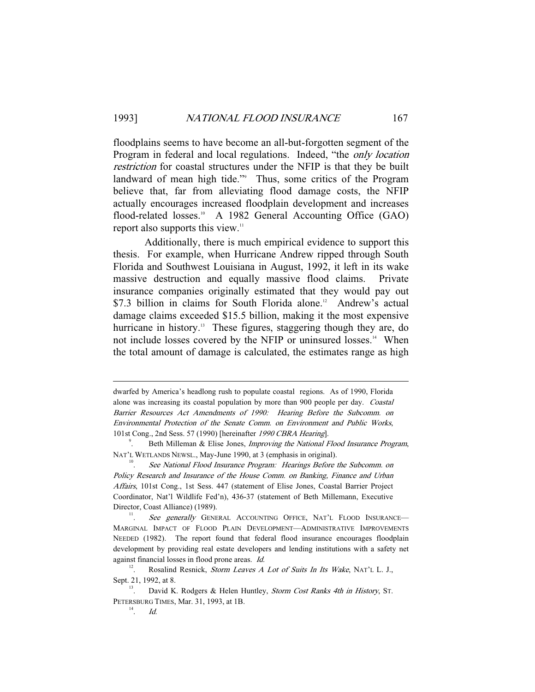floodplains seems to have become an all-but-forgotten segment of the Program in federal and local regulations. Indeed, "the only location restriction for coastal structures under the NFIP is that they be built landward of mean high tide."<sup>9</sup> Thus, some critics of the Program believe that, far from alleviating flood damage costs, the NFIP actually encourages increased floodplain development and increases flood-related losses.<sup>10</sup> A 1982 General Accounting Office (GAO) report also supports this view.<sup>11</sup>

 Additionally, there is much empirical evidence to support this thesis. For example, when Hurricane Andrew ripped through South Florida and Southwest Louisiana in August, 1992, it left in its wake massive destruction and equally massive flood claims. Private insurance companies originally estimated that they would pay out \$7.3 billion in claims for South Florida alone.<sup>12</sup> Andrew's actual damage claims exceeded \$15.5 billion, making it the most expensive hurricane in history.<sup>13</sup> These figures, staggering though they are, do not include losses covered by the NFIP or uninsured losses.<sup>14</sup> When the total amount of damage is calculated, the estimates range as high

-

dwarfed by America's headlong rush to populate coastal regions. As of 1990, Florida alone was increasing its coastal population by more than 900 people per day. Coastal Barrier Resources Act Amendments of 1990: Hearing Before the Subcomm. on Environmental Protection of the Senate Comm. on Environment and Public Works, 101st Cong., 2nd Sess. 57 (1990) [hereinafter 1990 CBRA Hearing]. 9

Beth Milleman & Elise Jones, Improving the National Flood Insurance Program, NAT'L WETLANDS NEWSL., May-June 1990, at 3 (emphasis in original).<br>
See National Elood Insurance Program: Hearings Before

See National Flood Insurance Program: Hearings Before the Subcomm. on Policy Research and Insurance of the House Comm. on Banking, Finance and Urban Affairs, 101st Cong., 1st Sess. 447 (statement of Elise Jones, Coastal Barrier Project Coordinator, Nat'l Wildlife Fed'n), 436-37 (statement of Beth Millemann, Executive Director, Coast Alliance) (1989).

See generally GENERAL ACCOUNTING OFFICE, NAT'L FLOOD INSURANCE-MARGINAL IMPACT OF FLOOD PLAIN DEVELOPMENT—ADMINISTRATIVE IMPROVEMENTS NEEDED (1982). The report found that federal flood insurance encourages floodplain development by providing real estate developers and lending institutions with a safety net against financial losses in flood prone areas. Id.

Rosalind Resnick, Storm Leaves A Lot of Suits In Its Wake, NAT'L L. J., Sept. 21, 1992, at 8.<br><sup>13</sup>. David K. Rodgers & Helen Huntley, *Storm Cost Ranks 4th in History*, St.

PETERSBURG TIMES, Mar. 31, 1993, at 1B.

<sup>.</sup> Id.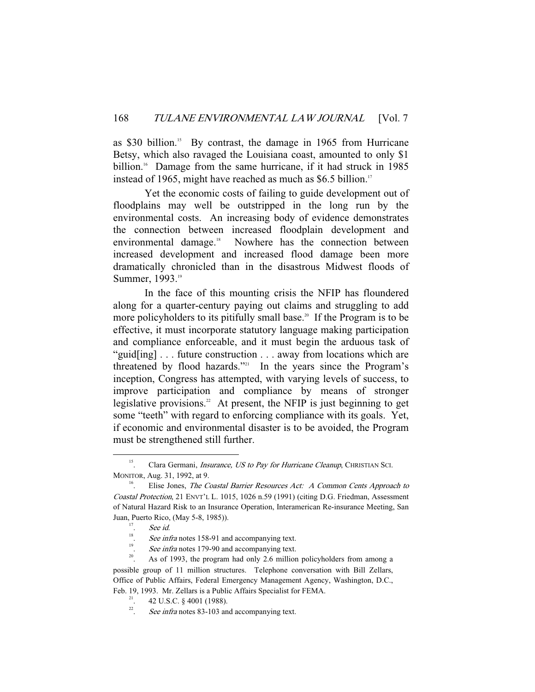as \$30 billion.<sup>15</sup> By contrast, the damage in 1965 from Hurricane Betsy, which also ravaged the Louisiana coast, amounted to only \$1 billion.<sup>16</sup> Damage from the same hurricane, if it had struck in 1985 instead of 1965, might have reached as much as  $$6.5$  billion.<sup>17</sup>

 Yet the economic costs of failing to guide development out of floodplains may well be outstripped in the long run by the environmental costs. An increasing body of evidence demonstrates the connection between increased floodplain development and environmental damage.<sup>18</sup> Nowhere has the connection between increased development and increased flood damage been more dramatically chronicled than in the disastrous Midwest floods of Summer, 1993.<sup>19</sup>

 In the face of this mounting crisis the NFIP has floundered along for a quarter-century paying out claims and struggling to add more policyholders to its pitifully small base.<sup>20</sup> If the Program is to be effective, it must incorporate statutory language making participation and compliance enforceable, and it must begin the arduous task of "guid[ing] . . . future construction . . . away from locations which are threatened by flood hazards."<sup>21</sup> In the years since the Program's inception, Congress has attempted, with varying levels of success, to improve participation and compliance by means of stronger legislative provisions.<sup>22</sup> At present, the NFIP is just beginning to get some "teeth" with regard to enforcing compliance with its goals. Yet, if economic and environmental disaster is to be avoided, the Program must be strengthened still further.

 $15$ . Clara Germani, *Insurance, US to Pay for Hurricane Cleanup*, CHRISTIAN SCI. MONITOR, Aug. 31, 1992, at 9.<br><sup>16</sup>. Elise Jones, *The Coastal Barrier Resources Act: A Common Cents Approach to* 

Coastal Protection, 21 ENVT'L L. 1015, 1026 n.59 (1991) (citing D.G. Friedman, Assessment of Natural Hazard Risk to an Insurance Operation, Interamerican Re-insurance Meeting, San Juan, Puerto Rico, (May 5-8, 1985)).

<sup>.</sup> See id.

<sup>18</sup> <sup>18</sup>. *See infra* notes 158-91 and accompanying text.<br><sup>19</sup>. *See infra* notes 179-90 and accompanying text.

<sup>&</sup>lt;sup>20</sup>. As of 1993, the program had only 2.6 million policyholders from among a possible group of 11 million structures. Telephone conversation with Bill Zellars, Office of Public Affairs, Federal Emergency Management Agency, Washington, D.C., Feb. 19, 1993. Mr. Zellars is a Public Affairs Specialist for FEMA.<br><sup>21</sup>. 42 U.S.C. § 4001 (1988).

<sup>22</sup> See infra notes 83-103 and accompanying text.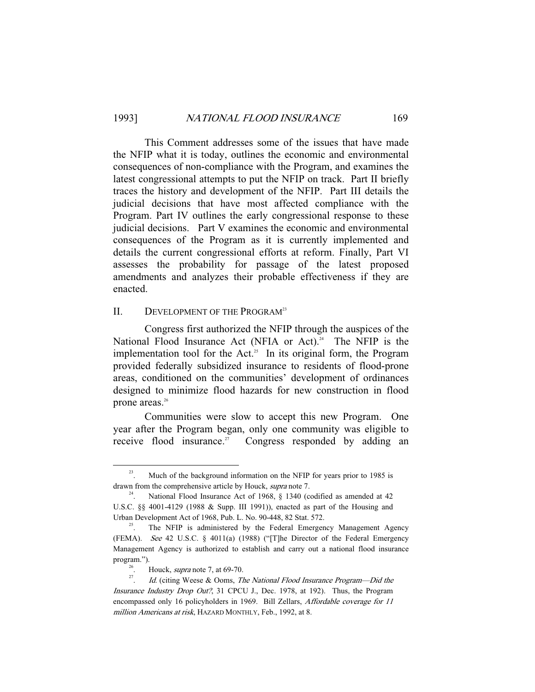This Comment addresses some of the issues that have made the NFIP what it is today, outlines the economic and environmental consequences of non-compliance with the Program, and examines the latest congressional attempts to put the NFIP on track. Part II briefly traces the history and development of the NFIP. Part III details the judicial decisions that have most affected compliance with the Program. Part IV outlines the early congressional response to these judicial decisions. Part V examines the economic and environmental consequences of the Program as it is currently implemented and details the current congressional efforts at reform. Finally, Part VI assesses the probability for passage of the latest proposed amendments and analyzes their probable effectiveness if they are enacted.

## II. DEVELOPMENT OF THE PROGRAM<sup>23</sup>

 Congress first authorized the NFIP through the auspices of the National Flood Insurance Act (NFIA or Act).<sup>24</sup> The NFIP is the implementation tool for the Act.<sup>25</sup> In its original form, the Program provided federally subsidized insurance to residents of flood-prone areas, conditioned on the communities' development of ordinances designed to minimize flood hazards for new construction in flood prone areas.<sup>26</sup>

 Communities were slow to accept this new Program. One year after the Program began, only one community was eligible to receive flood insurance.<sup>27</sup> Congress responded by adding an

<sup>&</sup>lt;sup>23</sup>. Much of the background information on the NFIP for years prior to 1985 is drawn from the comprehensive article by Houck, *supra* note 7.<br><sup>24</sup>. National Flood Insurance Act of 1968, § 1340 (codified as amended at 42

U.S.C. §§ 4001-4129 (1988 & Supp. III 1991)), enacted as part of the Housing and Urban Development Act of 1968, Pub. L. No. 90-448, 82 Stat. 572.<br><sup>25</sup>. The NFIP is administered by the Federal Emergency Management Agency

<sup>(</sup>FEMA). See 42 U.S.C. § 4011(a) (1988) ("[T]he Director of the Federal Emergency Management Agency is authorized to establish and carry out a national flood insurance program.").<br><sup>26</sup>. Houck, *supra* note 7, at 69-70.<br><sup>27</sup>. *LA* (citing Wesse, 8: Ogma, Theory).

<sup>.</sup> Id. (citing Weese & Ooms, The National Flood Insurance Program—Did the Insurance Industry Drop Out?, 31 CPCU J., Dec. 1978, at 192). Thus, the Program encompassed only 16 policyholders in 1969. Bill Zellars, Affordable coverage for 11 million Americans at risk, HAZARD MONTHLY, Feb., 1992, at 8.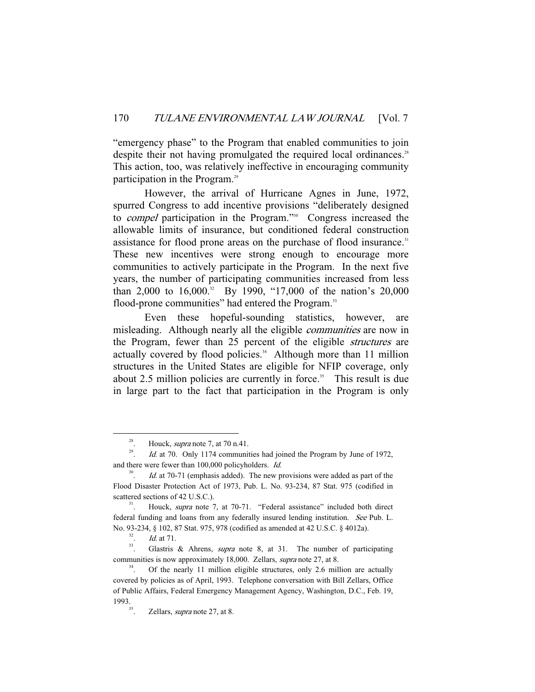"emergency phase" to the Program that enabled communities to join despite their not having promulgated the required local ordinances.<sup>28</sup> This action, too, was relatively ineffective in encouraging community participation in the Program.<sup>29</sup>

 However, the arrival of Hurricane Agnes in June, 1972, spurred Congress to add incentive provisions "deliberately designed to compel participation in the Program."30 Congress increased the allowable limits of insurance, but conditioned federal construction assistance for flood prone areas on the purchase of flood insurance.<sup>31</sup> These new incentives were strong enough to encourage more communities to actively participate in the Program. In the next five years, the number of participating communities increased from less than 2,000 to  $16,000$ .<sup>32</sup> By 1990, "17,000 of the nation's 20,000 flood-prone communities" had entered the Program.<sup>33</sup>

 Even these hopeful-sounding statistics, however, are misleading. Although nearly all the eligible *communities* are now in the Program, fewer than 25 percent of the eligible structures are actually covered by flood policies.<sup>34</sup> Although more than 11 million structures in the United States are eligible for NFIP coverage, only about 2.5 million policies are currently in force.<sup>35</sup> This result is due in large part to the fact that participation in the Program is only

<sup>&</sup>lt;sup>28</sup>. Houck, *supra* note 7, at 70 n.41.<br> *Id.* at 70. Only 1174 community

Id. at 70. Only 1174 communities had joined the Program by June of 1972, and there were fewer than 100,000 policyholders. Id.

<sup>30</sup> Id. at 70-71 (emphasis added). The new provisions were added as part of the Flood Disaster Protection Act of 1973, Pub. L. No. 93-234, 87 Stat. 975 (codified in scattered sections of 42 U.S.C.).  $\frac{31}{1}$ . Houck, *supra* note 7, at 70-71. "Federal assistance" included both direct

federal funding and loans from any federally insured lending institution. See Pub. L. No. 93-234, § 102, 87 Stat. 975, 978 (codified as amended at 42 U.S.C. § 4012a).<br><sup>32</sup>. *Id.* at 71.

<sup>&</sup>lt;sup>33</sup>. Glastris & Ahrens, *supra* note 8, at 31. The number of participating communities is now approximately 18,000. Zellars, *supra* note 27, at 8.<br><sup>34</sup>. Of the nearly 11 million eligible structures, only 2.6 million are actually

covered by policies as of April, 1993. Telephone conversation with Bill Zellars, Office of Public Affairs, Federal Emergency Management Agency, Washington, D.C., Feb. 19, 1993.<br> $35.$  Zellars, *supra* note 27, at 8.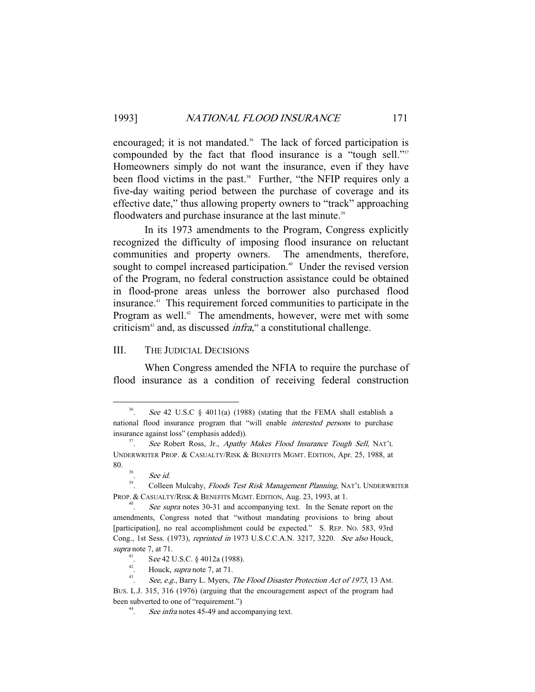encouraged; it is not mandated.<sup>36</sup> The lack of forced participation is compounded by the fact that flood insurance is a "tough sell."<sup>377</sup> Homeowners simply do not want the insurance, even if they have been flood victims in the past.<sup>38</sup> Further, "the NFIP requires only a five-day waiting period between the purchase of coverage and its effective date," thus allowing property owners to "track" approaching floodwaters and purchase insurance at the last minute.<sup>39</sup>

 In its 1973 amendments to the Program, Congress explicitly recognized the difficulty of imposing flood insurance on reluctant communities and property owners. The amendments, therefore, sought to compel increased participation.<sup>40</sup> Under the revised version of the Program, no federal construction assistance could be obtained in flood-prone areas unless the borrower also purchased flood insurance.41 This requirement forced communities to participate in the Program as well.<sup>42</sup> The amendments, however, were met with some criticism<sup>43</sup> and, as discussed *infra*,<sup>44</sup> a constitutional challenge.

## III. THE JUDICIAL DECISIONS

 When Congress amended the NFIA to require the purchase of flood insurance as a condition of receiving federal construction

 <sup>36</sup> See 42 U.S.C  $\S$  4011(a) (1988) (stating that the FEMA shall establish a national flood insurance program that "will enable interested persons to purchase insurance against loss" (emphasis added)).

See Robert Ross, Jr., Apathy Makes Flood Insurance Tough Sell, NAT'L UNDERWRITER PROP. & CASUALTY/RISK & BENEFITS MGMT. EDITION, Apr. 25, 1988, at  $80.$ <sub>38</sub>

 $\int_{39}^{38}$ . See id.

<sup>39.</sup> Colleen Mulcahy, Floods Test Risk Management Planning, NAT'L UNDERWRITER PROP. & CASUALTY/RISK & BENEFITS MGMT. EDITION, Aug. 23, 1993, at 1.

See supra notes 30-31 and accompanying text. In the Senate report on the amendments, Congress noted that "without mandating provisions to bring about [participation], no real accomplishment could be expected." S. REP. No. 583, 93rd Cong., 1st Sess. (1973), reprinted in 1973 U.S.C.C.A.N. 3217, 3220. See also Houck, supra note 7, at 71.

<sup>&</sup>lt;sup>41</sup>. See 42 U.S.C. § 4012a (1988).<br><sup>42</sup>. Houck, *supra* note 7, at 71.<br><sup>43</sup>. See a.g. Barry J. Muses, The

See, e.g., Barry L. Myers, The Flood Disaster Protection Act of 1973, 13 AM.

BUS. L.J. 315, 316 (1976) (arguing that the encouragement aspect of the program had been subverted to one of "requirement.")

See infra notes 45-49 and accompanying text.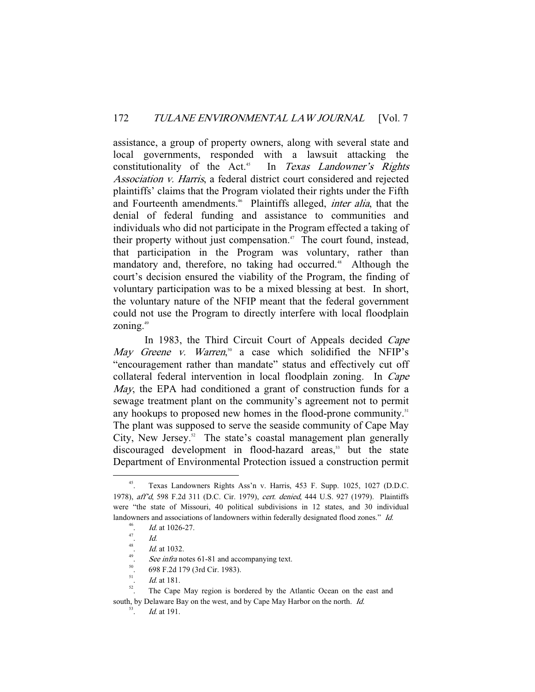assistance, a group of property owners, along with several state and local governments, responded with a lawsuit attacking the constitutionality of the Act.<sup>45</sup> In Texas Landowner's Rights Association v. Harris, a federal district court considered and rejected plaintiffs' claims that the Program violated their rights under the Fifth and Fourteenth amendments.<sup>46</sup> Plaintiffs alleged, *inter alia*, that the denial of federal funding and assistance to communities and individuals who did not participate in the Program effected a taking of their property without just compensation.<sup>47</sup> The court found, instead, that participation in the Program was voluntary, rather than mandatory and, therefore, no taking had occurred.<sup>48</sup> Although the court's decision ensured the viability of the Program, the finding of voluntary participation was to be a mixed blessing at best. In short, the voluntary nature of the NFIP meant that the federal government could not use the Program to directly interfere with local floodplain zoning. $49$ 

In 1983, the Third Circuit Court of Appeals decided *Cape* May Greene v. Warren,<sup>50</sup> a case which solidified the NFIP's "encouragement rather than mandate" status and effectively cut off collateral federal intervention in local floodplain zoning. In Cape May, the EPA had conditioned a grant of construction funds for a sewage treatment plant on the community's agreement not to permit any hookups to proposed new homes in the flood-prone community.<sup>51</sup> The plant was supposed to serve the seaside community of Cape May City, New Jersey.<sup>52</sup> The state's coastal management plan generally discouraged development in flood-hazard areas, $53$  but the state Department of Environmental Protection issued a construction permit

 <sup>45.</sup> Texas Landowners Rights Ass'n v. Harris, 453 F. Supp. 1025, 1027 (D.D.C. 1978), aff'd, 598 F.2d 311 (D.C. Cir. 1979), cert. denied, 444 U.S. 927 (1979). Plaintiffs were "the state of Missouri, 40 political subdivisions in 12 states, and 30 individual landowners and associations of landowners within federally designated flood zones." Id.

<sup>46</sup> <sup>46</sup>. *Id.* at 1026-27.

<sup>.</sup> Id.

<sup>48</sup> Id. at 1032.

<sup>&</sup>lt;sup>49</sup>. See infra notes 61-81 and accompanying text.<br><sup>50</sup>. 698 F.2d 179 (3rd Cir. 1983).

<sup>51</sup>

<sup>&</sup>lt;sup>51</sup>. *Id.* at 181.<br><sup>52</sup>. The Cape May region is bordered by the Atlantic Ocean on the east and south, by Delaware Bay on the west, and by Cape May Harbor on the north. Id.

Id. at 191.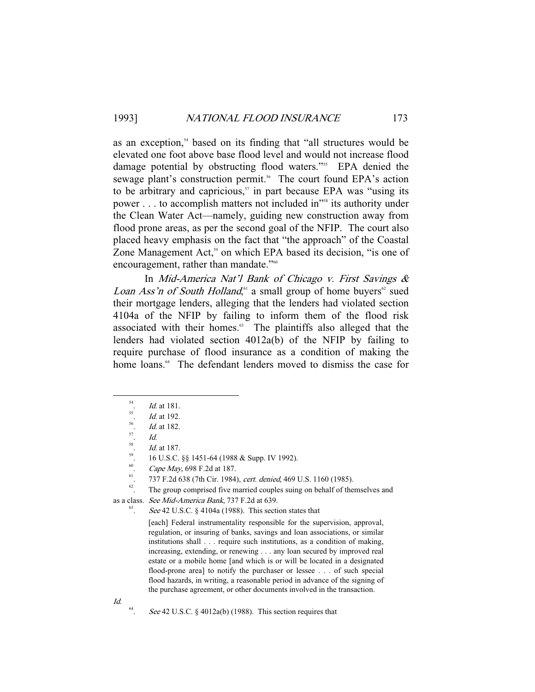as an exception,<sup>54</sup> based on its finding that "all structures would be elevated one foot above base flood level and would not increase flood damage potential by obstructing flood waters."<sup>55</sup> EPA denied the sewage plant's construction permit.<sup>56</sup> The court found EPA's action to be arbitrary and capricious, $\sigma$  in part because EPA was "using its power . . . to accomplish matters not included in<sup>158</sup> its authority under the Clean Water Act—namely, guiding new construction away from flood prone areas, as per the second goal of the NFIP. The court also placed heavy emphasis on the fact that "the approach" of the Coastal Zone Management Act,<sup>59</sup> on which EPA based its decision, "is one of encouragement, rather than mandate."<sup>60</sup>

 In Mid-America Nat'l Bank of Chicago v. First Savings & *Loan Ass'n of South Holland*,<sup>61</sup> a small group of home buyers<sup>62</sup> sued their mortgage lenders, alleging that the lenders had violated section 4104a of the NFIP by failing to inform them of the flood risk associated with their homes.<sup>63</sup> The plaintiffs also alleged that the lenders had violated section 4012a(b) of the NFIP by failing to require purchase of flood insurance as a condition of making the home loans.<sup>64</sup> The defendant lenders moved to dismiss the case for

58

<sup>58</sup>. *Id.* at 187.<br>
<sup>59</sup>. 16 U.S.C. §§ 1451-64 (1988 & Supp. IV 1992).<br>  $\frac{60}{25}$  Cana May 608 E 24 at 187.

<sup>61</sup>. Cape May, 698 F.2d at 187.<br><sup>61</sup>. 737 F.2d 638 (7th Cir. 1984), *cert. denied*, 469 U.S. 1160 (1985).<br><sup>62</sup>. The group comprised five married couples suing on behalf of themselves and

as a class. See Mid-America Bank, 737 F.2d at 639.

See 42 U.S.C. § 4104a (1988). This section states that

[each] Federal instrumentality responsible for the supervision, approval, regulation, or insuring of banks, savings and loan associations, or similar institutions shall . . . require such institutions, as a condition of making, increasing, extending, or renewing . . . any loan secured by improved real estate or a mobile home [and which is or will be located in a designated flood-prone area] to notify the purchaser or lessee . . . of such special flood hazards, in writing, a reasonable period in advance of the signing of the purchase agreement, or other documents involved in the transaction.

 $\int d^{2}$ 

See 42 U.S.C.  $\&$  4012a(b) (1988). This section requires that

<sup>&</sup>lt;sup>54</sup>. *Id.* at 181.<br><sup>55</sup>. *Id.* at 192.<br>*57 Id.* at 182.

 $\frac{57}{10}$ .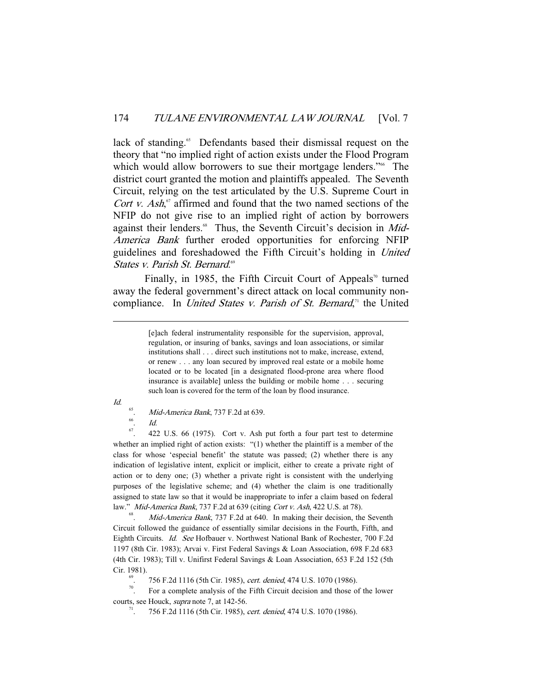lack of standing.<sup>65</sup> Defendants based their dismissal request on the theory that "no implied right of action exists under the Flood Program which would allow borrowers to sue their mortgage lenders."<sup>66</sup> The district court granted the motion and plaintiffs appealed. The Seventh Circuit, relying on the test articulated by the U.S. Supreme Court in Cort v. Ash, $\sigma$  affirmed and found that the two named sections of the NFIP do not give rise to an implied right of action by borrowers against their lenders.<sup>68</sup> Thus, the Seventh Circuit's decision in Mid-America Bank further eroded opportunities for enforcing NFIP guidelines and foreshadowed the Fifth Circuit's holding in United States v. Parish St. Bernard.<sup>69</sup>

Finally, in 1985, the Fifth Circuit Court of Appeals<sup>70</sup> turned away the federal government's direct attack on local community noncompliance. In *United States v. Parish of St. Bernard*,<sup>*n*</sup> the United

-

 $\frac{66}{67}$ . *Id.* 

67. 422 U.S. 66 (1975). Cort v. Ash put forth a four part test to determine whether an implied right of action exists: "(1) whether the plaintiff is a member of the class for whose 'especial benefit' the statute was passed; (2) whether there is any indication of legislative intent, explicit or implicit, either to create a private right of action or to deny one; (3) whether a private right is consistent with the underlying purposes of the legislative scheme; and (4) whether the claim is one traditionally assigned to state law so that it would be inappropriate to infer a claim based on federal law." Mid-America Bank, 737 F.2d at 639 (citing Cort v. Ash, 422 U.S. at 78).

Mid-America Bank, 737 F.2d at 640. In making their decision, the Seventh Circuit followed the guidance of essentially similar decisions in the Fourth, Fifth, and Eighth Circuits. Id. See Hofbauer v. Northwest National Bank of Rochester, 700 F.2d 1197 (8th Cir. 1983); Arvai v. First Federal Savings & Loan Association, 698 F.2d 683 (4th Cir. 1983); Till v. Unifirst Federal Savings & Loan Association, 653 F.2d 152 (5th Cir. 1981).<br><sup>69</sup>. 756 F.2d 1116 (5th Cir. 1985), *cert. denied*, 474 U.S. 1070 (1986).<br><sup>70</sup>. For a complete analysis of the Fifth Circuit decision and those of the lower

courts, see Houck, *supra* note 7, at 142-56.<br><sup>71</sup>. 756 F.2d 1116 (5th Cir. 1985), *cert. denied*, 474 U.S. 1070 (1986).

<sup>[</sup>e]ach federal instrumentality responsible for the supervision, approval, regulation, or insuring of banks, savings and loan associations, or similar institutions shall . . . direct such institutions not to make, increase, extend, or renew . . . any loan secured by improved real estate or a mobile home located or to be located [in a designated flood-prone area where flood insurance is available] unless the building or mobile home . . . securing such loan is covered for the term of the loan by flood insurance.

Id.

<sup>65</sup> Mid-America Bank, 737 F.2d at 639.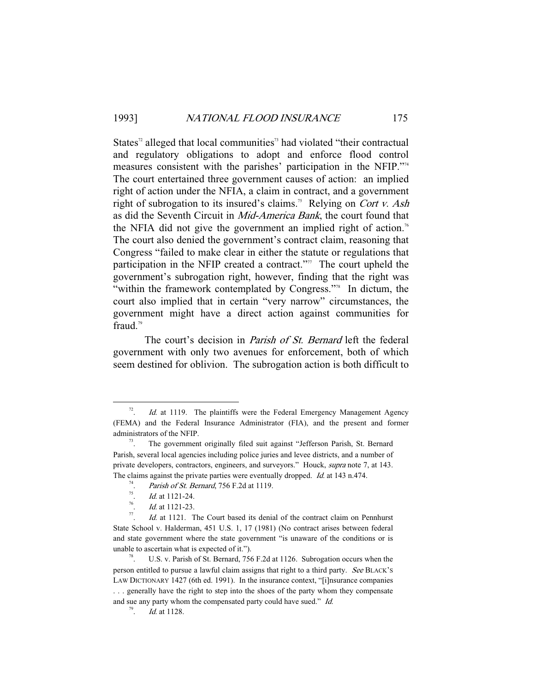States<sup> $2$ </sup> alleged that local communities<sup> $2$ </sup> had violated "their contractual and regulatory obligations to adopt and enforce flood control measures consistent with the parishes' participation in the NFIP."<sup>4</sup> The court entertained three government causes of action: an implied right of action under the NFIA, a claim in contract, and a government right of subrogation to its insured's claims.<sup>75</sup> Relying on *Cort v. Ash* as did the Seventh Circuit in Mid-America Bank, the court found that the NFIA did not give the government an implied right of action.<sup>76</sup> The court also denied the government's contract claim, reasoning that Congress "failed to make clear in either the statute or regulations that participation in the NFIP created a contract."<sup>77</sup> The court upheld the government's subrogation right, however, finding that the right was "within the framework contemplated by Congress."<sup>78</sup> In dictum, the court also implied that in certain "very narrow" circumstances, the government might have a direct action against communities for fraud. $79$ 

The court's decision in *Parish of St. Bernard* left the federal government with only two avenues for enforcement, both of which seem destined for oblivion. The subrogation action is both difficult to

 <sup>72</sup> Id. at 1119. The plaintiffs were the Federal Emergency Management Agency (FEMA) and the Federal Insurance Administrator (FIA), and the present and former administrators of the NFIP.<br><sup>73</sup>. The government originally filed suit against "Jefferson Parish, St. Bernard

Parish, several local agencies including police juries and levee districts, and a number of private developers, contractors, engineers, and surveyors." Houck, *supra* note 7, at 143. The claims against the private parties were eventually dropped. *Id.* at 143 n.474.

<sup>&</sup>lt;sup>74</sup>. *Parish of St. Bernard*, 756 F.2d at 1119.

 $\frac{75}{76}$ . *Id.* at 1121-24.

 $\frac{76}{77}$  *Id.* at 1121-23.

 $Id$  at 1121. The Court based its denial of the contract claim on Pennhurst State School v. Halderman, 451 U.S. 1, 17 (1981) (No contract arises between federal and state government where the state government "is unaware of the conditions or is unable to ascertain what is expected of it.").<br><sup>78</sup>. U.S. v. Parish of St. Bernard, 756 F.2d at 1126. Subrogation occurs when the

person entitled to pursue a lawful claim assigns that right to a third party. See BLACK'S LAW DICTIONARY 1427 (6th ed. 1991). In the insurance context, "[i]nsurance companies ... generally have the right to step into the shoes of the party whom they compensate and sue any party whom the compensated party could have sued." Id.

<sup>79</sup> . Id. at 1128.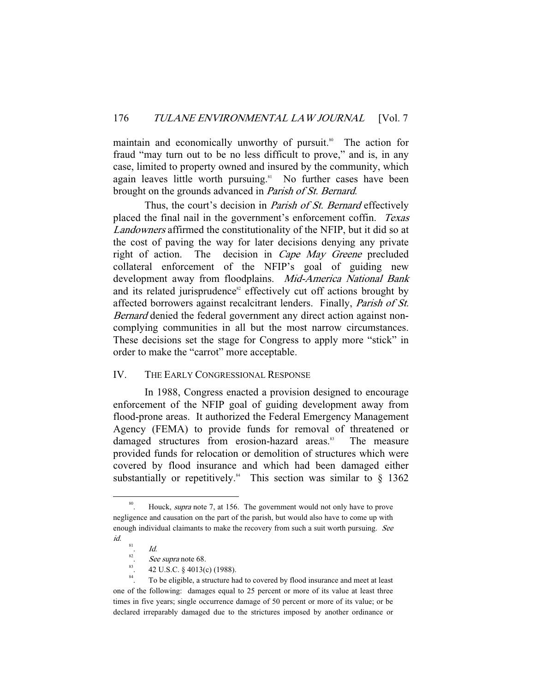maintain and economically unworthy of pursuit.<sup>80</sup> The action for fraud "may turn out to be no less difficult to prove," and is, in any case, limited to property owned and insured by the community, which again leaves little worth pursuing.<sup>81</sup> No further cases have been brought on the grounds advanced in Parish of St. Bernard.

Thus, the court's decision in *Parish of St. Bernard* effectively placed the final nail in the government's enforcement coffin. Texas Landowners affirmed the constitutionality of the NFIP, but it did so at the cost of paving the way for later decisions denying any private right of action. The decision in Cape May Greene precluded collateral enforcement of the NFIP's goal of guiding new development away from floodplains. Mid-America National Bank and its related jurisprudence<sup>82</sup> effectively cut off actions brought by affected borrowers against recalcitrant lenders. Finally, Parish of St. Bernard denied the federal government any direct action against noncomplying communities in all but the most narrow circumstances. These decisions set the stage for Congress to apply more "stick" in order to make the "carrot" more acceptable.

# IV. THE EARLY CONGRESSIONAL RESPONSE

 In 1988, Congress enacted a provision designed to encourage enforcement of the NFIP goal of guiding development away from flood-prone areas. It authorized the Federal Emergency Management Agency (FEMA) to provide funds for removal of threatened or damaged structures from erosion-hazard areas.<sup>83</sup> The measure provided funds for relocation or demolition of structures which were covered by flood insurance and which had been damaged either substantially or repetitively.<sup>84</sup> This section was similar to  $\S$  1362

<sup>&</sup>lt;sup>80</sup>. Houck, *supra* note 7, at 156. The government would not only have to prove negligence and causation on the part of the parish, but would also have to come up with enough individual claimants to make the recovery from such a suit worth pursuing. See id.

<sup>81</sup> . Id.

<sup>82</sup>

<sup>&</sup>lt;sup>82</sup>. See supra note 68.<br><sup>83</sup>. 42 U.S.C. § 4013(c) (1988).<br><sup>84</sup>. To be elimble a structure by

To be eligible, a structure had to covered by flood insurance and meet at least one of the following: damages equal to 25 percent or more of its value at least three times in five years; single occurrence damage of 50 percent or more of its value; or be declared irreparably damaged due to the strictures imposed by another ordinance or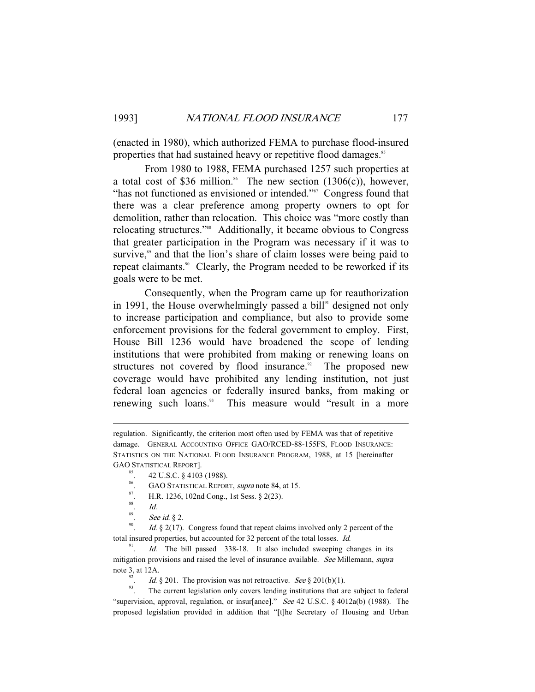(enacted in 1980), which authorized FEMA to purchase flood-insured properties that had sustained heavy or repetitive flood damages.<sup>85</sup>

 From 1980 to 1988, FEMA purchased 1257 such properties at a total cost of \$36 million.<sup>86</sup> The new section  $(1306(c))$ , however, "has not functioned as envisioned or intended."<sup>87</sup> Congress found that there was a clear preference among property owners to opt for demolition, rather than relocation. This choice was "more costly than relocating structures."<sup>88</sup> Additionally, it became obvious to Congress that greater participation in the Program was necessary if it was to survive,<sup>89</sup> and that the lion's share of claim losses were being paid to repeat claimants.<sup>90</sup> Clearly, the Program needed to be reworked if its goals were to be met.

 Consequently, when the Program came up for reauthorization in 1991, the House overwhelmingly passed a bill<sup>91</sup> designed not only to increase participation and compliance, but also to provide some enforcement provisions for the federal government to employ. First, House Bill 1236 would have broadened the scope of lending institutions that were prohibited from making or renewing loans on structures not covered by flood insurance. $\degree$  The proposed new coverage would have prohibited any lending institution, not just federal loan agencies or federally insured banks, from making or renewing such loans.<sup>93</sup> This measure would "result in a more

-

*Id.*  $\S$  2(17). Congress found that repeat claims involved only 2 percent of the total insured properties, but accounted for 32 percent of the total losses. Id.

91 Id. The bill passed 338-18. It also included sweeping changes in its mitigation provisions and raised the level of insurance available. See Millemann, supra note 3, at 12A.<br>
<sup>92</sup>. *Id.* § 201. The provision was not retroactive. *See* § 201(b)(1).

 $\frac{93}{2}$ . The current legislation only covers lending institutions that are subject to federal "supervision, approval, regulation, or insur[ance]." See 42 U.S.C. § 4012a(b) (1988). The proposed legislation provided in addition that "[t]he Secretary of Housing and Urban

regulation. Significantly, the criterion most often used by FEMA was that of repetitive damage. GENERAL ACCOUNTING OFFICE GAO/RCED-88-155FS, FLOOD INSURANCE: STATISTICS ON THE NATIONAL FLOOD INSURANCE PROGRAM, 1988, at 15 [hereinafter GAO STATISTICAL REPORT].<br><sup>85</sup>. 42 U.S.C. § 4103 (1988).

<sup>&</sup>lt;sup>86</sup>. GAO STATISTICAL REPORT, *supra* note 84, at 15.<br><sup>87</sup>. H.R. 1236, 102nd Cong., 1st Sess. § 2(23).

<sup>88</sup>  $\frac{1}{89}$ . Id.<br>See

<sup>&</sup>lt;sup>89</sup>. See id. § 2.<br><sup>90</sup> *Id.* 8. 2(17)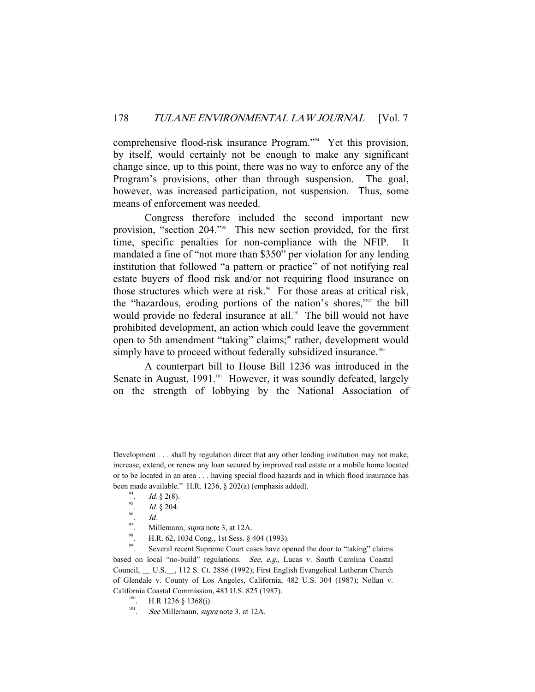comprehensive flood-risk insurance Program."94 Yet this provision, by itself, would certainly not be enough to make any significant change since, up to this point, there was no way to enforce any of the Program's provisions, other than through suspension. The goal, however, was increased participation, not suspension. Thus, some means of enforcement was needed.

 Congress therefore included the second important new provision, "section 204."<sup>95</sup> This new section provided, for the first time, specific penalties for non-compliance with the NFIP. mandated a fine of "not more than \$350" per violation for any lending institution that followed "a pattern or practice" of not notifying real estate buyers of flood risk and/or not requiring flood insurance on those structures which were at risk.<sup>96</sup> For those areas at critical risk, the "hazardous, eroding portions of the nation's shores,"97 the bill would provide no federal insurance at all.<sup>98</sup> The bill would not have prohibited development, an action which could leave the government open to 5th amendment "taking" claims;<sup>99</sup> rather, development would simply have to proceed without federally subsidized insurance.<sup>100</sup>

 A counterpart bill to House Bill 1236 was introduced in the Senate in August, 1991.<sup>101</sup> However, it was soundly defeated, largely on the strength of lobbying by the National Association of

-

<sup>97</sup>. Millemann, *supra* note 3, at 12A.<br><sup>98</sup>. H.R. 62, 103d Cong., 1st Sess. § 404 (1993).<br>Several recent Suprame Court cases have on

Several recent Supreme Court cases have opened the door to "taking" claims based on local "no-build" regulations. See, e.g., Lucas v. South Carolina Coastal Council, \_\_ U.S.\_\_, 112 S. Ct. 2886 (1992); First English Evangelical Lutheran Church of Glendale v. County of Los Angeles, California, 482 U.S. 304 (1987); Nollan v. California Coastal Commission, 483 U.S. 825 (1987).<br><sup>100</sup>. H.R 1236 § 1368(j).<br>See Millemann, *sunta* note 3, at 12 A

Development . . . shall by regulation direct that any other lending institution may not make, increase, extend, or renew any loan secured by improved real estate or a mobile home located or to be located in an area . . . having special flood hazards and in which flood insurance has been made available." H.R. 1236,  $\S$  202(a) (emphasis added).

<sup>&</sup>lt;sup>94</sup>. *Id.* § 2(8).

 $\frac{^{95}}{^{96}}$ . *Id.* § 204.

 $\frac{96}{97}$ . *Id.* 

<sup>.</sup> See Millemann, supra note 3, at 12A.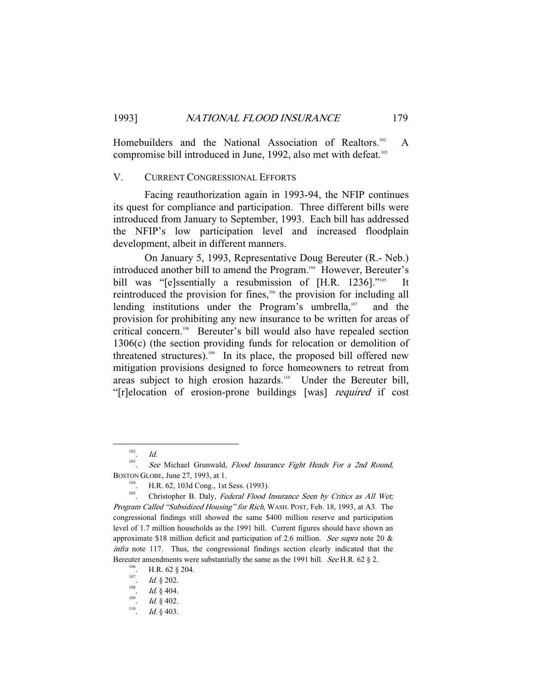Homebuilders and the National Association of Realtors.<sup>102</sup> A compromise bill introduced in June, 1992, also met with defeat.103

#### V. CURRENT CONGRESSIONAL EFFORTS

 Facing reauthorization again in 1993-94, the NFIP continues its quest for compliance and participation. Three different bills were introduced from January to September, 1993. Each bill has addressed the NFIP's low participation level and increased floodplain development, albeit in different manners.

 On January 5, 1993, Representative Doug Bereuter (R.- Neb.) introduced another bill to amend the Program.<sup>104</sup> However, Bereuter's bill was "[e]ssentially a resubmission of [H.R. 1236]."<sup>105</sup> It reintroduced the provision for fines,<sup>106</sup> the provision for including all lending institutions under the Program's umbrella, $107$  and the provision for prohibiting any new insurance to be written for areas of critical concern.<sup>108</sup> Bereuter's bill would also have repealed section 1306(c) (the section providing funds for relocation or demolition of threatened structures).<sup>109</sup> In its place, the proposed bill offered new mitigation provisions designed to force homeowners to retreat from areas subject to high erosion hazards.<sup>110</sup> Under the Bereuter bill, "[r]elocation of erosion-prone buildings [was] required if cost

 <sup>102</sup> . Id.

<sup>103</sup> See Michael Grunwald, Flood Insurance Fight Heads For a 2nd Round,

BOSTON GLOBE, June 27, 1993, at 1.<br><sup>104</sup>. H.R. 62, 103d Cong., 1st Sess. (1993).<br><sup>105</sup>. Christopher B. Daly, *Federal Flood Insurance Seen by Critics as All Wet*; Program Called "Subsidized Housing" for Rich, WASH. POST, Feb. 18, 1993, at A3. The congressional findings still showed the same \$400 million reserve and participation level of 1.7 million households as the 1991 bill. Current figures should have shown an approximate \$18 million deficit and participation of 2.6 million. See supra note 20 & infra note 117. Thus, the congressional findings section clearly indicated that the Bereuter amendments were substantially the same as the 1991 bill. *See* H.R. 62 § 2.<br><sup>106</sup>. H.R. 62 § 204.<br><sup>107</sup>. H.R. 200.

<sup>&</sup>lt;sup>107</sup>. *Id.* § 202.<br><sup>108</sup> *Id.* § 404

<sup>&</sup>lt;sup>108</sup>. *Id.* § 404.

<sup>&</sup>lt;sup>109</sup>. *Id.* § 402.

<sup>.</sup> Id. § 403.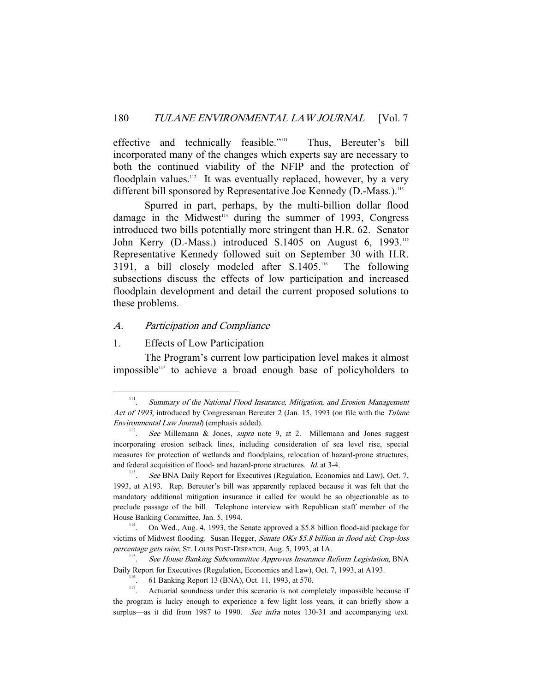effective and technically feasible."<sup>111</sup> Thus, Bereuter's bill incorporated many of the changes which experts say are necessary to both the continued viability of the NFIP and the protection of floodplain values.<sup>112</sup> It was eventually replaced, however, by a very different bill sponsored by Representative Joe Kennedy (D.-Mass.).<sup>113</sup>

 Spurred in part, perhaps, by the multi-billion dollar flood damage in the Midwest<sup>114</sup> during the summer of 1993, Congress introduced two bills potentially more stringent than H.R. 62. Senator John Kerry (D.-Mass.) introduced S.1405 on August 6, 1993.<sup>115</sup> Representative Kennedy followed suit on September 30 with H.R. 3191, a bill closely modeled after S.1405.<sup>116</sup> The following subsections discuss the effects of low participation and increased floodplain development and detail the current proposed solutions to these problems.

# A. Participation and Compliance

# 1. Effects of Low Participation

 The Program's current low participation level makes it almost impossible $117$  to achieve a broad enough base of policyholders to

 <sup>111</sup> . Summary of the National Flood Insurance, Mitigation, and Erosion Management Act of 1993, introduced by Congressman Bereuter 2 (Jan. 15, 1993 (on file with the Tulane Environmental Law Journal) (emphasis added).

See Millemann & Jones, *supra* note 9, at 2. Millemann and Jones suggest incorporating erosion setback lines, including consideration of sea level rise, special measures for protection of wetlands and floodplains, relocation of hazard-prone structures, and federal acquisition of flood- and hazard-prone structures.  $Id$  at 3-4.

See BNA Daily Report for Executives (Regulation, Economics and Law), Oct. 7, 1993, at A193. Rep. Bereuter's bill was apparently replaced because it was felt that the mandatory additional mitigation insurance it called for would be so objectionable as to preclude passage of the bill. Telephone interview with Republican staff member of the House Banking Committee, Jan. 5, 1994.<br><sup>114</sup>. On Wed., Aug. 4, 1993, the Senate approved a \$5.8 billion flood-aid package for

victims of Midwest flooding. Susan Hegger, Senate OKs \$5.8 billion in flood aid; Crop-loss percentage gets raise, ST. LOUIS POST-DISPATCH, Aug. 5, 1993, at 1A.<br>
See House Banking Subcommittee Approves Insurance B

<sup>.</sup> See House Banking Subcommittee Approves Insurance Reform Legislation, BNA Daily Report for Executives (Regulation, Economics and Law), Oct. 7, 1993, at A193.<br><sup>116</sup>. 61 Banking Report 13 (BNA), Oct. 11, 1993, at 570.<br><sup>117</sup>. Actuarial soundness under this scenario is not completely impossible beca

the program is lucky enough to experience a few light loss years, it can briefly show a surplus—as it did from 1987 to 1990. See infra notes 130-31 and accompanying text.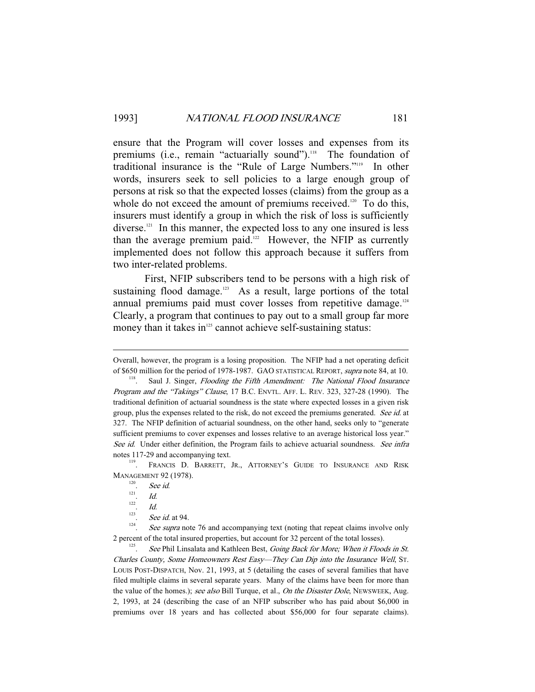ensure that the Program will cover losses and expenses from its premiums (i.e., remain "actuarially sound").<sup>118</sup> The foundation of traditional insurance is the "Rule of Large Numbers."119 In other words, insurers seek to sell policies to a large enough group of persons at risk so that the expected losses (claims) from the group as a whole do not exceed the amount of premiums received.<sup>120</sup> To do this, insurers must identify a group in which the risk of loss is sufficiently diverse.121 In this manner, the expected loss to any one insured is less than the average premium paid.<sup>122</sup> However, the NFIP as currently implemented does not follow this approach because it suffers from two inter-related problems.

 First, NFIP subscribers tend to be persons with a high risk of sustaining flood damage. $123$  As a result, large portions of the total annual premiums paid must cover losses from repetitive damage.<sup>124</sup> Clearly, a program that continues to pay out to a small group far more money than it takes in $125$  cannot achieve self-sustaining status:

-

Overall, however, the program is a losing proposition. The NFIP had a net operating deficit of \$650 million for the period of 1978-1987. GAO STATISTICAL REPORT, supra note 84, at 10.<br><sup>118</sup>. Saul J. Singer, *Flooding the Fifth Amendment: The National Flood Insurance* 

Program and the "Takings" Clause, 17 B.C. ENVTL. AFF. L. REV. 323, 327-28 (1990). The traditional definition of actuarial soundness is the state where expected losses in a given risk group, plus the expenses related to the risk, do not exceed the premiums generated. See id. at 327. The NFIP definition of actuarial soundness, on the other hand, seeks only to "generate sufficient premiums to cover expenses and losses relative to an average historical loss year." See id. Under either definition, the Program fails to achieve actuarial soundness. See infra

notes 117-29 and accompanying text.<br><sup>119</sup>. FRANCIS D. BARRETT, JR., ATTORNEY'S GUIDE TO INSURANCE AND RISK **MANAGEMENT 92 (1978).** 

<sup>&</sup>lt;sup>120</sup>. See id.

<sup>.</sup> Id.

<sup>122</sup>  $Id$ 

<sup>123</sup> <sup>123</sup>. See id. at 94.

See supra note 76 and accompanying text (noting that repeat claims involve only 2 percent of the total insured properties, but account for 32 percent of the total losses).

See Phil Linsalata and Kathleen Best, Going Back for More; When it Floods in St. Charles County, Some Homeowners Rest Easy—They Can Dip into the Insurance Well, ST. LOUIS POST-DISPATCH, Nov. 21, 1993, at 5 (detailing the cases of several families that have filed multiple claims in several separate years. Many of the claims have been for more than the value of the homes.); see also Bill Turque, et al., On the Disaster Dole, NEWSWEEK, Aug. 2, 1993, at 24 (describing the case of an NFIP subscriber who has paid about \$6,000 in premiums over 18 years and has collected about \$56,000 for four separate claims).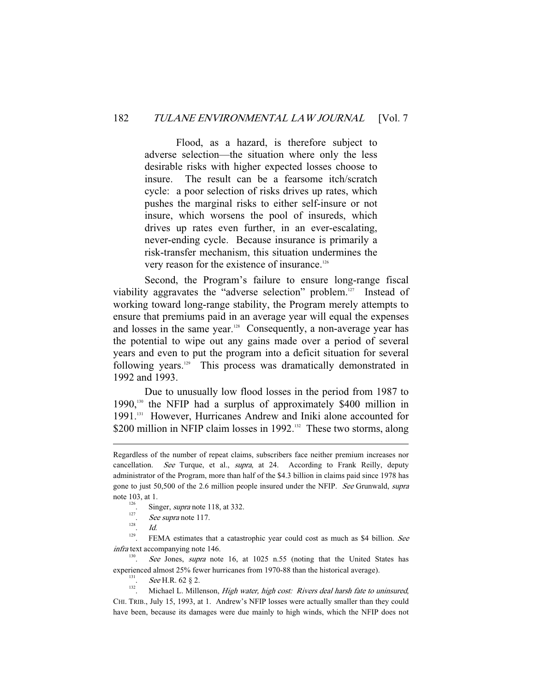Flood, as a hazard, is therefore subject to adverse selection—the situation where only the less desirable risks with higher expected losses choose to insure. The result can be a fearsome itch/scratch cycle: a poor selection of risks drives up rates, which pushes the marginal risks to either self-insure or not insure, which worsens the pool of insureds, which drives up rates even further, in an ever-escalating, never-ending cycle. Because insurance is primarily a risk-transfer mechanism, this situation undermines the very reason for the existence of insurance.126

 Second, the Program's failure to ensure long-range fiscal viability aggravates the "adverse selection" problem.<sup>127</sup> Instead of working toward long-range stability, the Program merely attempts to ensure that premiums paid in an average year will equal the expenses and losses in the same year.<sup>128</sup> Consequently, a non-average year has the potential to wipe out any gains made over a period of several years and even to put the program into a deficit situation for several following years.129 This process was dramatically demonstrated in 1992 and 1993.

 Due to unusually low flood losses in the period from 1987 to 1990,130 the NFIP had a surplus of approximately \$400 million in 1991.131 However, Hurricanes Andrew and Iniki alone accounted for \$200 million in NFIP claim losses in 1992.<sup>132</sup> These two storms, along

- 
- <sup>127</sup>. See supra note 117.
- $\frac{128}{129}$ . *Id.*

-

FEMA estimates that a catastrophic year could cost as much as \$4 billion. See infra text accompanying note 146.

130 See Jones, supra note 16, at 1025 n.55 (noting that the United States has experienced almost 25% fewer hurricanes from 1970-88 than the historical average).  $\frac{131}{131}$ . See H.R. 62 § 2.

 $132$ . Michael L. Millenson, *High water, high cost: Rivers deal harsh fate to uninsured*, CHI. TRIB., July 15, 1993, at 1. Andrew's NFIP losses were actually smaller than they could have been, because its damages were due mainly to high winds, which the NFIP does not

Regardless of the number of repeat claims, subscribers face neither premium increases nor cancellation. See Turque, et al., supra, at 24. According to Frank Reilly, deputy administrator of the Program, more than half of the \$4.3 billion in claims paid since 1978 has gone to just 50,500 of the 2.6 million people insured under the NFIP. See Grunwald, supra note 103, at 1.<br>
Singer, *supra* note 118, at 332.<br>  $\frac{126}{127}$  See supra note 117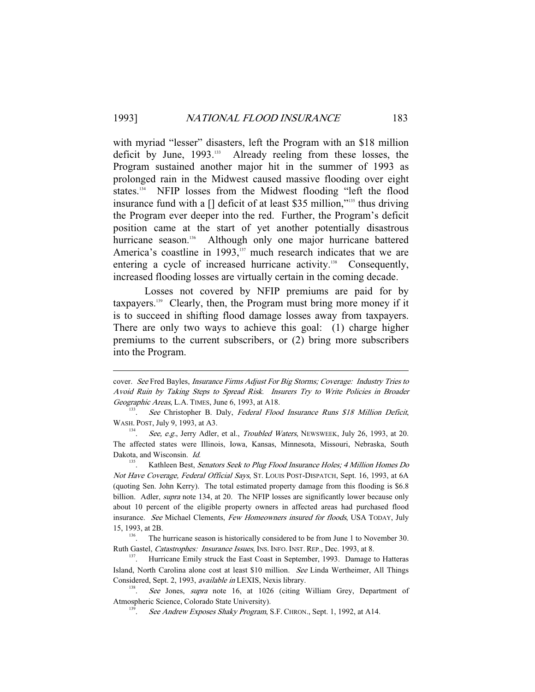with myriad "lesser" disasters, left the Program with an \$18 million deficit by June, 1993.<sup>133</sup> Already reeling from these losses, the Program sustained another major hit in the summer of 1993 as prolonged rain in the Midwest caused massive flooding over eight states.<sup>134</sup> NFIP losses from the Midwest flooding "left the flood insurance fund with a [] deficit of at least \$35 million,"135 thus driving the Program ever deeper into the red. Further, the Program's deficit position came at the start of yet another potentially disastrous hurricane season.<sup>136</sup> Although only one major hurricane battered America's coastline in 1993,<sup>137</sup> much research indicates that we are entering a cycle of increased hurricane activity.<sup>138</sup> Consequently, increased flooding losses are virtually certain in the coming decade.

 Losses not covered by NFIP premiums are paid for by taxpayers.139 Clearly, then, the Program must bring more money if it is to succeed in shifting flood damage losses away from taxpayers. There are only two ways to achieve this goal: (1) charge higher premiums to the current subscribers, or (2) bring more subscribers into the Program.

-

cover. See Fred Bayles, Insurance Firms Adjust For Big Storms; Coverage: Industry Tries to Avoid Ruin by Taking Steps to Spread Risk. Insurers Try to Write Policies in Broader Geographic Areas, L.A. TIMES, June 6, 1993, at A18.

<sup>.</sup> See Christopher B. Daly, Federal Flood Insurance Runs \$18 Million Deficit, WASH. POST, July 9, 1993, at A3.

<sup>&</sup>lt;sup>134</sup>. See, e.g., Jerry Adler, et al., *Troubled Waters*, NEWSWEEK, July 26, 1993, at 20. The affected states were Illinois, Iowa, Kansas, Minnesota, Missouri, Nebraska, South Dakota, and Wisconsin. *Id.* 

 $135$ . Kathleen Best, Senators Seek to Plug Flood Insurance Holes; 4 Million Homes Do Not Have Coverage, Federal Official Says, ST. LOUIS POST-DISPATCH, Sept. 16, 1993, at 6A (quoting Sen. John Kerry). The total estimated property damage from this flooding is \$6.8 billion. Adler, *supra* note 134, at 20. The NFIP losses are significantly lower because only about 10 percent of the eligible property owners in affected areas had purchased flood insurance. See Michael Clements, Few Homeowners insured for floods, USA TODAY, July 15, 1993, at 2B.<br>
<sup>136</sup>. The hurricane season is historically considered to be from June 1 to November 30.

Ruth Gastel, *Catastrophes: Insurance Issues*, INS. INFO. INST. REP., Dec. 1993, at 8.<br><sup>137</sup>. Hurricane Emily struck the East Coast in September, 1993. Damage to Hatteras

Island, North Carolina alone cost at least \$10 million. See Linda Wertheimer, All Things Considered, Sept. 2, 1993, available in LEXIS, Nexis library.

See Jones, supra note 16, at 1026 (citing William Grey, Department of Atmospheric Science, Colorado State University).

See Andrew Exposes Shaky Program, S.F. CHRON., Sept. 1, 1992, at A14.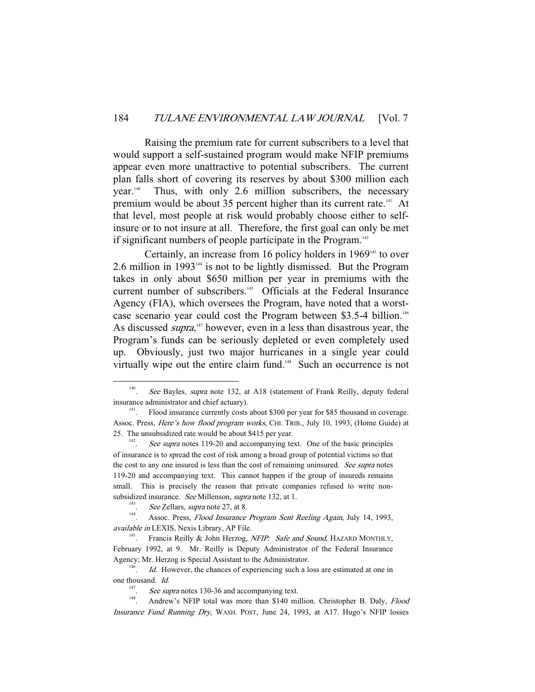Raising the premium rate for current subscribers to a level that would support a self-sustained program would make NFIP premiums appear even more unattractive to potential subscribers. The current plan falls short of covering its reserves by about \$300 million each year.<sup>140</sup> Thus, with only 2.6 million subscribers, the necessary premium would be about 35 percent higher than its current rate.<sup>141</sup> At that level, most people at risk would probably choose either to selfinsure or to not insure at all. Therefore, the first goal can only be met if significant numbers of people participate in the Program.<sup>142</sup>

Certainly, an increase from 16 policy holders in 1969<sup>143</sup> to over 2.6 million in 1993 $44$  is not to be lightly dismissed. But the Program takes in only about \$650 million per year in premiums with the current number of subscribers.<sup>145</sup> Officials at the Federal Insurance Agency (FIA), which oversees the Program, have noted that a worstcase scenario year could cost the Program between \$3.5-4 billion.<sup>146</sup> As discussed *supra*,<sup>147</sup> however, even in a less than disastrous year, the Program's funds can be seriously depleted or even completely used up. Obviously, just two major hurricanes in a single year could virtually wipe out the entire claim fund.<sup>148</sup> Such an occurrence is not

 <sup>140</sup> See Bayles, supra note 132, at A18 (statement of Frank Reilly, deputy federal insurance administrator and chief actuary).<br><sup>141</sup>. Flood insurance currently costs about \$300 per year for \$85 thousand in coverage.

Assoc. Press, Here's how flood program works, CHI. TRIB., July 10, 1993, (Home Guide) at 25. The unsubsidized rate would be about \$415 per year.

See supra notes 119-20 and accompanying text. One of the basic principles of insurance is to spread the cost of risk among a broad group of potential victims so that the cost to any one insured is less than the cost of remaining uninsured. See supra notes 119-20 and accompanying text. This cannot happen if the group of insureds remains small. This is precisely the reason that private companies refused to write nonsubsidized insurance. *See* Millenson, *supra* note 132, at 1.<br>  $See$  Zellars, *supra* note 27, at 8.

<sup>&</sup>lt;sup>144</sup>. Assoc. Press, *Flood Insurance Program Sent Reeling Again*, July 14, 1993, available in LEXIS, Nexis Library, AP File.<br><sup>145</sup>. Francis Reilly & John Herzog, *NFIP: Safe and Sound*, HAZARD MONTHLY,

February 1992, at 9. Mr. Reilly is Deputy Administrator of the Federal Insurance Agency; Mr. Herzog is Special Assistant to the Administrator.

Id. However, the chances of experiencing such a loss are estimated at one in one thousand. Id.

<sup>147</sup>

<sup>&</sup>lt;sup>147</sup>. *See supra* notes 130-36 and accompanying text.<br><sup>148</sup>. Andrew's NFIP total was more than \$140 million. Christopher B. Daly, *Flood* Insurance Fund Running Dry, WASH. POST, June 24, 1993, at A17. Hugo's NFIP losses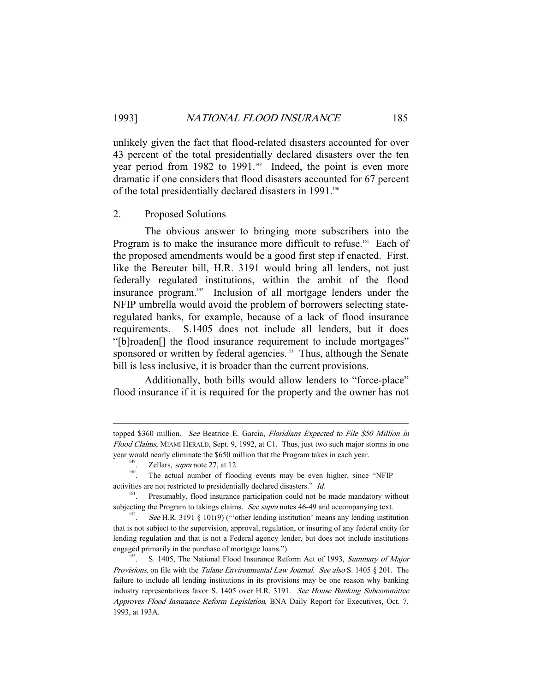unlikely given the fact that flood-related disasters accounted for over 43 percent of the total presidentially declared disasters over the ten year period from 1982 to 1991.<sup>149</sup> Indeed, the point is even more dramatic if one considers that flood disasters accounted for 67 percent of the total presidentially declared disasters in 1991.<sup>150</sup>

#### 2. Proposed Solutions

 The obvious answer to bringing more subscribers into the Program is to make the insurance more difficult to refuse.<sup>151</sup> Each of the proposed amendments would be a good first step if enacted. First, like the Bereuter bill, H.R. 3191 would bring all lenders, not just federally regulated institutions, within the ambit of the flood insurance program.152 Inclusion of all mortgage lenders under the NFIP umbrella would avoid the problem of borrowers selecting stateregulated banks, for example, because of a lack of flood insurance requirements. S.1405 does not include all lenders, but it does "[b]roaden[] the flood insurance requirement to include mortgages" sponsored or written by federal agencies.<sup>153</sup> Thus, although the Senate bill is less inclusive, it is broader than the current provisions.

 Additionally, both bills would allow lenders to "force-place" flood insurance if it is required for the property and the owner has not

-

topped \$360 million. See Beatrice E. Garcia, Floridians Expected to File \$50 Million in Flood Claims, MIAMI HERALD, Sept. 9, 1992, at C1. Thus, just two such major storms in one year would nearly eliminate the \$650 million that the Program takes in each year.<br><sup>149</sup>. Zellars, *supra* note 27, at 12.<br><sup>150</sup>. The actual number of flooding events may be even higher, since "NFIP

activities are not restricted to presidentially declared disasters." Id.

<sup>151.</sup> Presumably, flood insurance participation could not be made mandatory without subjecting the Program to takings claims. See supra notes 46-49 and accompanying text.

See H.R. 3191 § 101(9) ("other lending institution' means any lending institution that is not subject to the supervision, approval, regulation, or insuring of any federal entity for lending regulation and that is not a Federal agency lender, but does not include institutions engaged primarily in the purchase of mortgage loans.").<br><sup>153</sup>. S. 1405, The National Flood Insurance Reform Act of 1993, *Summary of Major* 

*Provisions*, on file with the *Tulane Environmental Law Journal.* See also S. 1405  $\S$  201. The failure to include all lending institutions in its provisions may be one reason why banking industry representatives favor S. 1405 over H.R. 3191. See House Banking Subcommittee Approves Flood Insurance Reform Legislation, BNA Daily Report for Executives, Oct. 7, 1993, at 193A.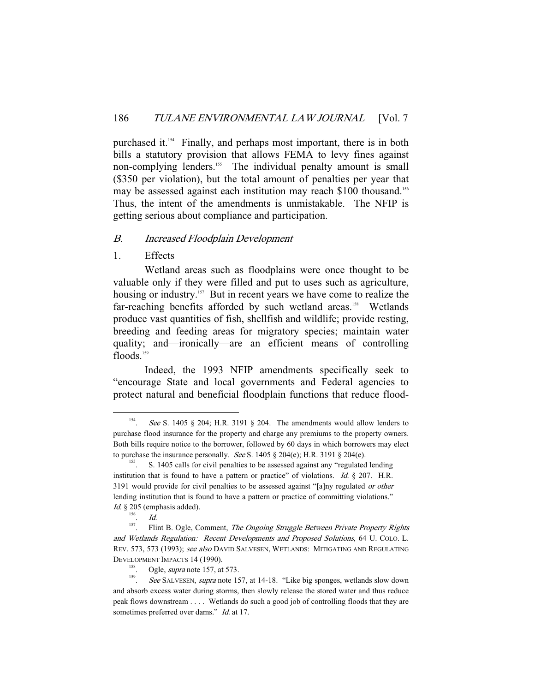purchased it.154 Finally, and perhaps most important, there is in both bills a statutory provision that allows FEMA to levy fines against non-complying lenders.<sup>155</sup> The individual penalty amount is small (\$350 per violation), but the total amount of penalties per year that may be assessed against each institution may reach \$100 thousand.<sup>156</sup> Thus, the intent of the amendments is unmistakable. The NFIP is getting serious about compliance and participation.

#### B. Increased Floodplain Development

1. Effects

 Wetland areas such as floodplains were once thought to be valuable only if they were filled and put to uses such as agriculture, housing or industry.<sup>157</sup> But in recent years we have come to realize the far-reaching benefits afforded by such wetland areas.<sup>158</sup> Wetlands produce vast quantities of fish, shellfish and wildlife; provide resting, breeding and feeding areas for migratory species; maintain water quality; and—ironically—are an efficient means of controlling floods.<sup>159</sup>

 Indeed, the 1993 NFIP amendments specifically seek to "encourage State and local governments and Federal agencies to protect natural and beneficial floodplain functions that reduce flood-

 <sup>154</sup> See S. 1405 § 204; H.R. 3191 § 204. The amendments would allow lenders to purchase flood insurance for the property and charge any premiums to the property owners. Both bills require notice to the borrower, followed by 60 days in which borrowers may elect

to purchase the insurance personally. *See* S. 1405 § 204(e); H.R. 3191 § 204(e).<br><sup>155</sup>. S. 1405 calls for civil penalties to be assessed against any "regulated lending institution that is found to have a pattern or practice" of violations. Id. § 207. H.R. 3191 would provide for civil penalties to be assessed against "[a]ny regulated or other lending institution that is found to have a pattern or practice of committing violations." Id. § 205 (emphasis added).

<sup>156</sup>  $\frac{156}{157}$ . *Id.* 

Flint B. Ogle, Comment, The Ongoing Struggle Between Private Property Rights and Wetlands Regulation: Recent Developments and Proposed Solutions, 64 U. COLO. L. REV. 573, 573 (1993); see also DAVID SALVESEN, WETLANDS: MITIGATING AND REGULATING DEVELOPMENT IMPACTS 14 (1990).<br>
<sup>158</sup>. Ogle, *supra* note 157, at 573.<br>
See SALVESEN, *supra* note 11

See SALVESEN, supra note 157, at 14-18. "Like big sponges, wetlands slow down and absorb excess water during storms, then slowly release the stored water and thus reduce peak flows downstream . . . . Wetlands do such a good job of controlling floods that they are sometimes preferred over dams." *Id.* at 17.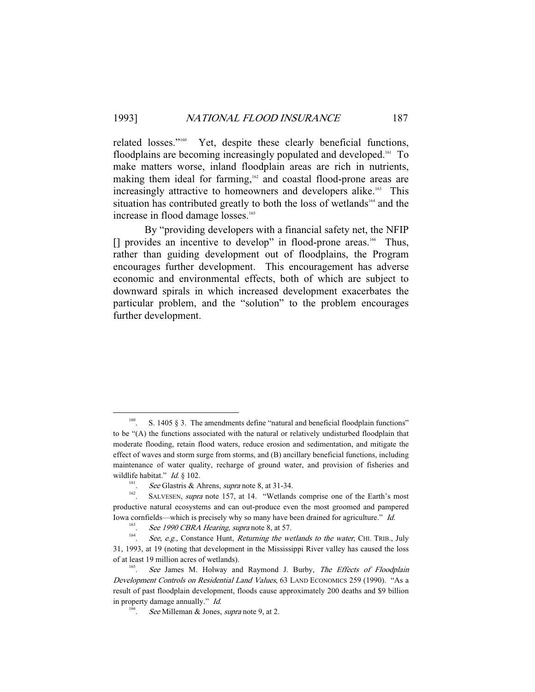related losses."160 Yet, despite these clearly beneficial functions, floodplains are becoming increasingly populated and developed.<sup>161</sup> To make matters worse, inland floodplain areas are rich in nutrients, making them ideal for farming,162 and coastal flood-prone areas are increasingly attractive to homeowners and developers alike.<sup>163</sup> This situation has contributed greatly to both the loss of wetlands<sup>164</sup> and the increase in flood damage losses.<sup>165</sup>

 By "providing developers with a financial safety net, the NFIP [] provides an incentive to develop" in flood-prone areas.<sup>166</sup> Thus, rather than guiding development out of floodplains, the Program encourages further development. This encouragement has adverse economic and environmental effects, both of which are subject to downward spirals in which increased development exacerbates the particular problem, and the "solution" to the problem encourages further development.

<sup>&</sup>lt;sup>160</sup>. S. 1405 § 3. The amendments define "natural and beneficial floodplain functions" to be "(A) the functions associated with the natural or relatively undisturbed floodplain that moderate flooding, retain flood waters, reduce erosion and sedimentation, and mitigate the effect of waves and storm surge from storms, and (B) ancillary beneficial functions, including maintenance of water quality, recharge of ground water, and provision of fisheries and wildlife habitat." *Id.* § 102.<br><sup>161</sup>. *See* Glastris & Ahrens, *supra* note 8, at 31-34.

<sup>&</sup>lt;sup>162</sup>. SALVESEN, *supra* note 157, at 14. "Wetlands comprise one of the Earth's most productive natural ecosystems and can out-produce even the most groomed and pampered Iowa cornfields—which is precisely why so many have been drained for agriculture." Id.

<sup>163</sup> <sup>163</sup>. See 1990 CBRA Hearing, supra note 8, at 57.<br><sup>164</sup> See e.g. Constance Hunt Returning the we

See, e.g., Constance Hunt, Returning the wetlands to the water, CHI. TRIB., July 31, 1993, at 19 (noting that development in the Mississippi River valley has caused the loss of at least 19 million acres of wetlands).

See James M. Holway and Raymond J. Burby, *The Effects of Floodplain* Development Controls on Residential Land Values, 63 LAND ECONOMICS 259 (1990). "As a result of past floodplain development, floods cause approximately 200 deaths and \$9 billion in property damage annually." Id.

<sup>&</sup>lt;sup>166</sup>. *See* Milleman & Jones, *supra* note 9, at 2.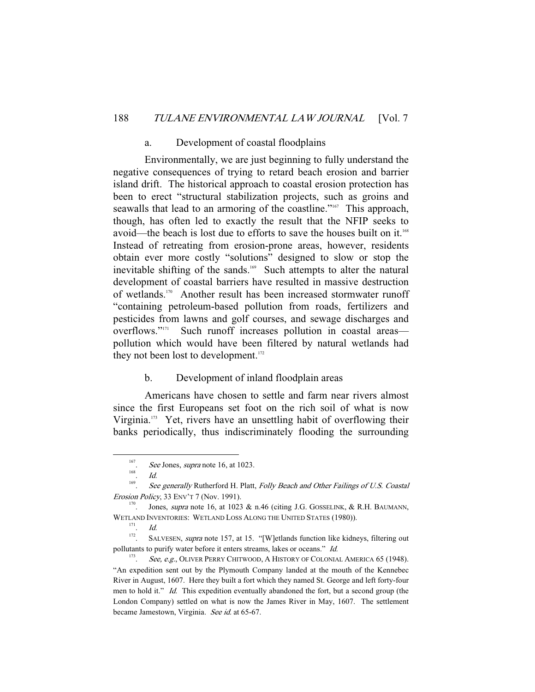# a. Development of coastal floodplains

 Environmentally, we are just beginning to fully understand the negative consequences of trying to retard beach erosion and barrier island drift. The historical approach to coastal erosion protection has been to erect "structural stabilization projects, such as groins and seawalls that lead to an armoring of the coastline."<sup>167</sup> This approach, though, has often led to exactly the result that the NFIP seeks to avoid—the beach is lost due to efforts to save the houses built on it.<sup>168</sup> Instead of retreating from erosion-prone areas, however, residents obtain ever more costly "solutions" designed to slow or stop the inevitable shifting of the sands.<sup>169</sup> Such attempts to alter the natural development of coastal barriers have resulted in massive destruction of wetlands.170 Another result has been increased stormwater runoff "containing petroleum-based pollution from roads, fertilizers and pesticides from lawns and golf courses, and sewage discharges and overflows."<sup>171</sup> Such runoff increases pollution in coastal areas pollution which would have been filtered by natural wetlands had they not been lost to development.<sup>172</sup>

#### b. Development of inland floodplain areas

 Americans have chosen to settle and farm near rivers almost since the first Europeans set foot on the rich soil of what is now Virginia.173 Yet, rivers have an unsettling habit of overflowing their banks periodically, thus indiscriminately flooding the surrounding

 <sup>167</sup> <sup>167</sup>. See Jones, *supra* note 16, at 1023.

 $Id$ 

<sup>169</sup> See generally Rutherford H. Platt, Folly Beach and Other Failings of U.S. Coastal Erosion Policy, 33 ENV'T 7 (Nov. 1991).<br>
<sup>170</sup>. Jones, *supra* note 16, at 1023 & n.46 (citing J.G. GOSSELINK, & R.H. BAUMANN,

WETLAND INVENTORIES: WETLAND LOSS ALONG THE UNITED STATES (1980)).

 $\frac{171}{172}$  *Id.* 

SALVESEN, supra note 157, at 15. "[W]etlands function like kidneys, filtering out pollutants to purify water before it enters streams, lakes or oceans." Id.

<sup>173</sup> See, e.g., OLIVER PERRY CHITWOOD, A HISTORY OF COLONIAL AMERICA 65 (1948). "An expedition sent out by the Plymouth Company landed at the mouth of the Kennebec River in August, 1607. Here they built a fort which they named St. George and left forty-four men to hold it." Id. This expedition eventually abandoned the fort, but a second group (the London Company) settled on what is now the James River in May, 1607. The settlement became Jamestown, Virginia. See id. at 65-67.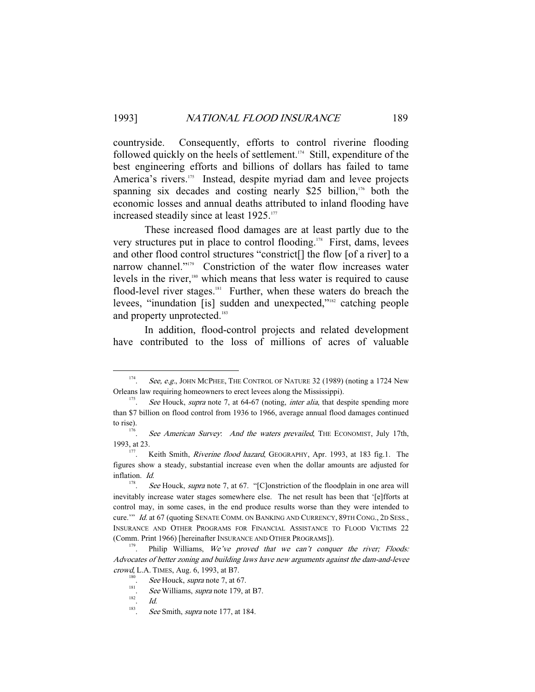countryside. Consequently, efforts to control riverine flooding followed quickly on the heels of settlement.174 Still, expenditure of the best engineering efforts and billions of dollars has failed to tame America's rivers.<sup>175</sup> Instead, despite myriad dam and levee projects spanning six decades and costing nearly \$25 billion, $176$  both the economic losses and annual deaths attributed to inland flooding have increased steadily since at least 1925.<sup>177</sup>

 These increased flood damages are at least partly due to the very structures put in place to control flooding.178 First, dams, levees and other flood control structures "constrict[] the flow [of a river] to a narrow channel."179 Constriction of the water flow increases water levels in the river,180 which means that less water is required to cause flood-level river stages.<sup>181</sup> Further, when these waters do breach the levees, "inundation [is] sudden and unexpected,"182 catching people and property unprotected.<sup>183</sup>

 In addition, flood-control projects and related development have contributed to the loss of millions of acres of valuable

 <sup>174</sup> See, e.g., JOHN MCPHEE, THE CONTROL OF NATURE 32 (1989) (noting a 1724 New Orleans law requiring homeowners to erect levees along the Mississippi).<br>
See Hauck supera note 7, at 64-67 (noting *inter alia* that des

See Houck, supra note 7, at 64-67 (noting, *inter alia*, that despite spending more than \$7 billion on flood control from 1936 to 1966, average annual flood damages continued to rise).

See American Survey. And the waters prevailed, THE ECONOMIST, July 17th, 1993, at 23. 177. Keith Smith, *Riverine flood hazard*, GEOGRAPHY, Apr. 1993, at 183 fig.1. The

figures show a steady, substantial increase even when the dollar amounts are adjusted for inflation. Id.

<sup>178</sup> See Houck, supra note 7, at 67. "[C]onstriction of the floodplain in one area will inevitably increase water stages somewhere else. The net result has been that '[e]fforts at control may, in some cases, in the end produce results worse than they were intended to cure.'" Id. at 67 (quoting SENATE COMM. ON BANKING AND CURRENCY, 89TH CONG., 2D SESS., INSURANCE AND OTHER PROGRAMS FOR FINANCIAL ASSISTANCE TO FLOOD VICTIMS 22 (Comm. Print 1966) [hereinafter INSURANCE AND OTHER PROGRAMS]).<br><sup>179</sup>. Philip Williams, *We've proved that we can't conquer the river; Floods:* 

Advocates of better zoning and building laws have new arguments against the dam-and-levee crowd, L.A. TIMES, Aug. 6, 1993, at B7.<br><sup>180</sup> See Houck sunta note 7, at 6

<sup>&</sup>lt;sup>180</sup>. See Houck, supra note 7, at 67.

 $\frac{181}{182}$ . See Williams, supra note 179, at B7.

<sup>.</sup> Id.

<sup>183</sup> See Smith, *supra* note 177, at 184.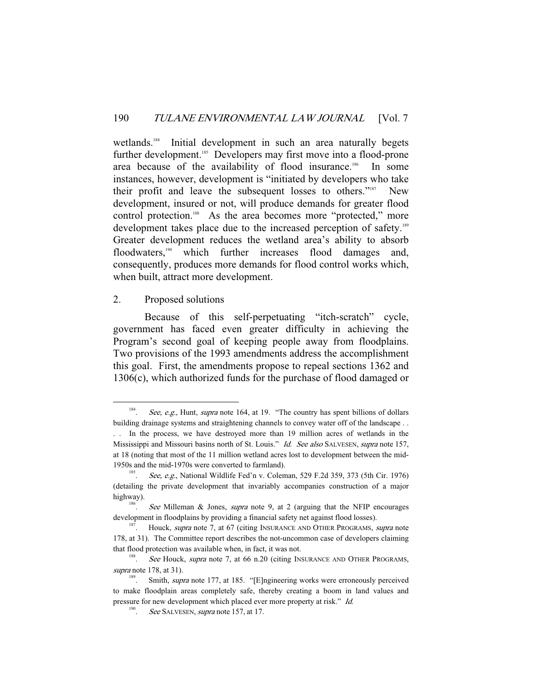wetlands.<sup>184</sup> Initial development in such an area naturally begets further development.<sup>185</sup> Developers may first move into a flood-prone area because of the availability of flood insurance.<sup>186</sup> In some instances, however, development is "initiated by developers who take their profit and leave the subsequent losses to others."187 New development, insured or not, will produce demands for greater flood control protection.<sup>188</sup> As the area becomes more "protected," more development takes place due to the increased perception of safety.<sup>189</sup> Greater development reduces the wetland area's ability to absorb floodwaters,<sup>190</sup> which further increases flood damages and, consequently, produces more demands for flood control works which, when built, attract more development.

#### 2. Proposed solutions

 Because of this self-perpetuating "itch-scratch" cycle, government has faced even greater difficulty in achieving the Program's second goal of keeping people away from floodplains. Two provisions of the 1993 amendments address the accomplishment this goal. First, the amendments propose to repeal sections 1362 and 1306(c), which authorized funds for the purchase of flood damaged or

 <sup>184</sup> See, e.g., Hunt, *supra* note 164, at 19. "The country has spent billions of dollars building drainage systems and straightening channels to convey water off of the landscape . . . . In the process, we have destroyed more than 19 million acres of wetlands in the Mississippi and Missouri basins north of St. Louis." *Id. See also* SALVESEN, *supra* note 157, at 18 (noting that most of the 11 million wetland acres lost to development between the mid-1950s and the mid-1970s were converted to farmland). 185

<sup>.</sup> See, e.g., National Wildlife Fed'n v. Coleman, 529 F.2d 359, 373 (5th Cir. 1976) (detailing the private development that invariably accompanies construction of a major highway).

See Milleman & Jones, *supra* note 9, at 2 (arguing that the NFIP encourages development in floodplains by providing a financial safety net against flood losses).<br><sup>187</sup>. Houck, *supra* note 7, at 67 (citing INSURANCE AND OTHER PROGRAMS, *supra* note

<sup>178,</sup> at 31). The Committee report describes the not-uncommon case of developers claiming that flood protection was available when, in fact, it was not.<br>
See Houck supra note 7 at 66 n 20 (citing IN

See Houck, supra note 7, at 66 n.20 (citing INSURANCE AND OTHER PROGRAMS, supra note 178, at 31).

Smith, *supra* note 177, at 185. "[E]ngineering works were erroneously perceived to make floodplain areas completely safe, thereby creating a boom in land values and pressure for new development which placed ever more property at risk." Id.

<sup>190</sup> See SALVESEN, *supra* note 157, at 17.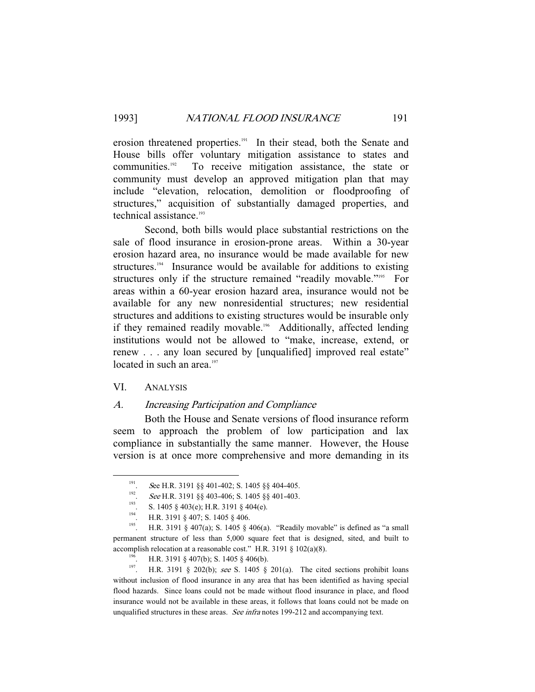erosion threatened properties.<sup>191</sup> In their stead, both the Senate and House bills offer voluntary mitigation assistance to states and communities.<sup>192</sup> To receive mitigation assistance, the state or community must develop an approved mitigation plan that may include "elevation, relocation, demolition or floodproofing of structures," acquisition of substantially damaged properties, and technical assistance.<sup>193</sup>

 Second, both bills would place substantial restrictions on the sale of flood insurance in erosion-prone areas. Within a 30-year erosion hazard area, no insurance would be made available for new structures.<sup>194</sup> Insurance would be available for additions to existing structures only if the structure remained "readily movable."<sup>195</sup> For areas within a 60-year erosion hazard area, insurance would not be available for any new nonresidential structures; new residential structures and additions to existing structures would be insurable only if they remained readily movable.<sup>196</sup> Additionally, affected lending institutions would not be allowed to "make, increase, extend, or renew . . . any loan secured by [unqualified] improved real estate" located in such an area.<sup>197</sup>

# VI. ANALYSIS

## A. Increasing Participation and Compliance

 Both the House and Senate versions of flood insurance reform seem to approach the problem of low participation and lax compliance in substantially the same manner. However, the House version is at once more comprehensive and more demanding in its

 <sup>191</sup> <sup>191</sup>. See H.R. 3191 §§ 401-402; S. 1405 §§ 404-405.<br><sup>192</sup>. See H.R. 3191 §§ 403-406; S. 1405 §§ 401-403.

<sup>8. 1405 § 403(</sup>e); H.R. 3191 § 404(e).<br>
194. H.R. 3191 § 407; S. 1405 § 406.<br>
195. H.R. 3191 § 407(a); S. 1405 § 406(a). "Readily movable" is defined as "a small permanent structure of less than 5,000 square feet that is designed, sited, and built to accomplish relocation at a reasonable cost." H.R. 3191 § 102(a)(8).<br><sup>196</sup>. H.R. 3191 § 407(b); S. 1405 § 406(b).<br><sup>197</sup>. H.R. 3191 § 202(b); *see* S. 1405 § 201(a). The cited sections prohibit loans

without inclusion of flood insurance in any area that has been identified as having special flood hazards. Since loans could not be made without flood insurance in place, and flood insurance would not be available in these areas, it follows that loans could not be made on unqualified structures in these areas. See infra notes 199-212 and accompanying text.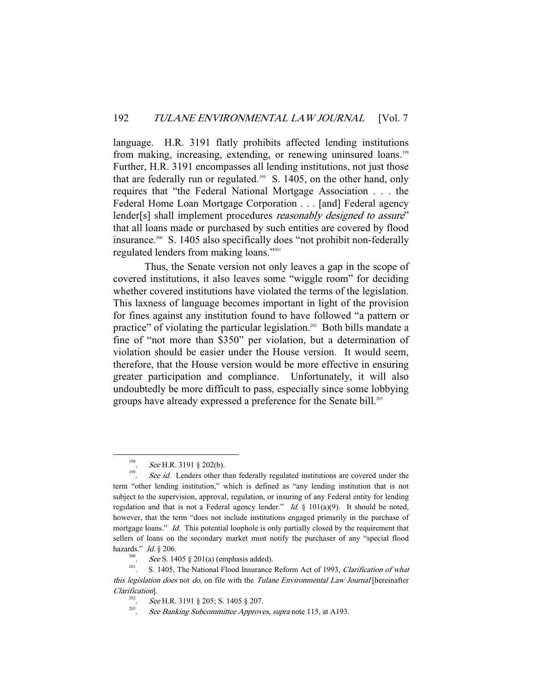language. H.R. 3191 flatly prohibits affected lending institutions from making, increasing, extending, or renewing uninsured loans.<sup>198</sup> Further, H.R. 3191 encompasses all lending institutions, not just those that are federally run or regulated.<sup>199</sup> S. 1405, on the other hand, only requires that "the Federal National Mortgage Association . . . the Federal Home Loan Mortgage Corporation . . . [and] Federal agency lender[s] shall implement procedures *reasonably designed to assure*" that all loans made or purchased by such entities are covered by flood insurance.200 S. 1405 also specifically does "not prohibit non-federally regulated lenders from making loans."201

 Thus, the Senate version not only leaves a gap in the scope of covered institutions, it also leaves some "wiggle room" for deciding whether covered institutions have violated the terms of the legislation. This laxness of language becomes important in light of the provision for fines against any institution found to have followed "a pattern or practice" of violating the particular legislation.<sup>202</sup> Both bills mandate a fine of "not more than \$350" per violation, but a determination of violation should be easier under the House version. It would seem, therefore, that the House version would be more effective in ensuring greater participation and compliance. Unfortunately, it will also undoubtedly be more difficult to pass, especially since some lobbying groups have already expressed a preference for the Senate bill.<sup>203</sup>

 <sup>198</sup> <sup>198</sup>. See H.R. 3191 § 202(b).<br><sup>199</sup>. See id. I enders other t

See id. Lenders other than federally regulated institutions are covered under the term "other lending institution," which is defined as "any lending institution that is not subject to the supervision, approval, regulation, or insuring of any Federal entity for lending regulation and that is not a Federal agency lender." Id.  $\S$  101(a)(9). It should be noted, however, that the term "does not include institutions engaged primarily in the purchase of mortgage loans." *Id.* This potential loophole is only partially closed by the requirement that sellers of loans on the secondary market must notify the purchaser of any "special flood hazards." Id. § 206.<br><sup>200</sup>. *See* S. 1405 § 201(a) (emphasis added).

<sup>&</sup>lt;sup>201</sup>. S. 1405, The National Flood Insurance Reform Act of 1993, *Clarification of what* this legislation does not do, on file with the Tulane Environmental Law Journal [hereinafter Clarification].

<sup>&</sup>lt;sup>202</sup>. See H.R. 3191 § 205; S. 1405 § 207.<br><sup>203</sup>. See Banking Subsammittee Approxy

See Banking Subcommittee Approves, supra note 115, at A193.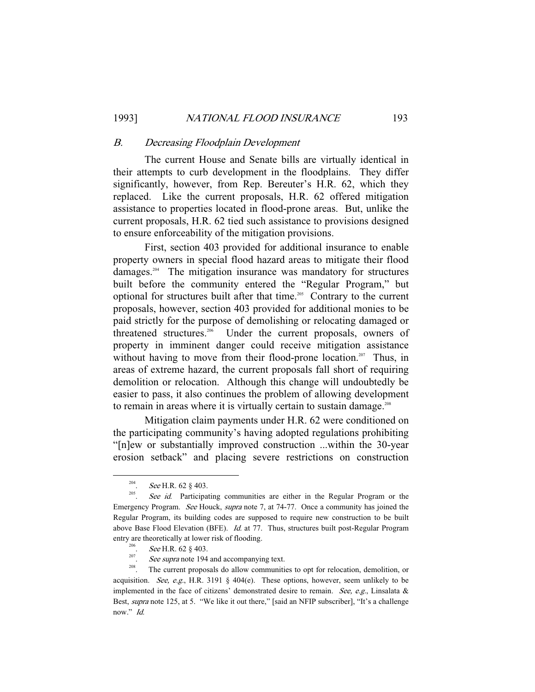# B. Decreasing Floodplain Development

 The current House and Senate bills are virtually identical in their attempts to curb development in the floodplains. They differ significantly, however, from Rep. Bereuter's H.R. 62, which they replaced. Like the current proposals, H.R. 62 offered mitigation assistance to properties located in flood-prone areas. But, unlike the current proposals, H.R. 62 tied such assistance to provisions designed to ensure enforceability of the mitigation provisions.

 First, section 403 provided for additional insurance to enable property owners in special flood hazard areas to mitigate their flood damages.204 The mitigation insurance was mandatory for structures built before the community entered the "Regular Program," but optional for structures built after that time.205 Contrary to the current proposals, however, section 403 provided for additional monies to be paid strictly for the purpose of demolishing or relocating damaged or threatened structures.<sup>206</sup> Under the current proposals, owners of property in imminent danger could receive mitigation assistance without having to move from their flood-prone location.<sup>207</sup> Thus, in areas of extreme hazard, the current proposals fall short of requiring demolition or relocation. Although this change will undoubtedly be easier to pass, it also continues the problem of allowing development to remain in areas where it is virtually certain to sustain damage.<sup>208</sup>

 Mitigation claim payments under H.R. 62 were conditioned on the participating community's having adopted regulations prohibiting "[n]ew or substantially improved construction ...within the 30-year erosion setback" and placing severe restrictions on construction

 <sup>204</sup> <sup>204</sup>. See H.R. 62 § 403.<br><sup>205</sup> See id Participa

See id. Participating communities are either in the Regular Program or the Emergency Program. See Houck, supra note 7, at 74-77. Once a community has joined the Regular Program, its building codes are supposed to require new construction to be built above Base Flood Elevation (BFE). Id. at 77. Thus, structures built post-Regular Program entry are theoretically at lower risk of flooding.

<sup>&</sup>lt;sup>206</sup>. *See* H.R. 62 § 403.<br><sup>207</sup>. *See supra* note 194 and accompanying text.

 $208$ . The current proposals do allow communities to opt for relocation, demolition, or acquisition. See, e.g., H.R. 3191 § 404(e). These options, however, seem unlikely to be implemented in the face of citizens' demonstrated desire to remain. See, e.g., Linsalata  $\&$ Best, supra note 125, at 5. "We like it out there," [said an NFIP subscriber], "It's a challenge now." Id.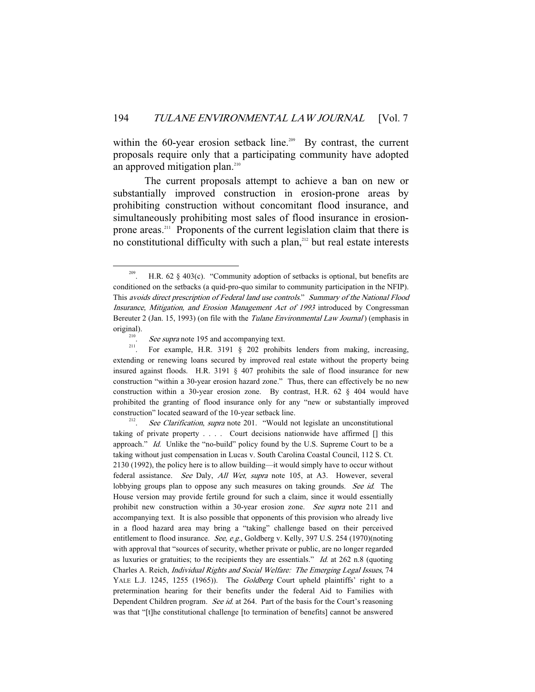within the 60-year erosion setback line.<sup>209</sup> By contrast, the current proposals require only that a participating community have adopted an approved mitigation plan.<sup>210</sup>

 The current proposals attempt to achieve a ban on new or substantially improved construction in erosion-prone areas by prohibiting construction without concomitant flood insurance, and simultaneously prohibiting most sales of flood insurance in erosionprone areas.211 Proponents of the current legislation claim that there is no constitutional difficulty with such a plan,<sup>212</sup> but real estate interests

See Clarification, supra note 201. "Would not legislate an unconstitutional taking of private property . . . . Court decisions nationwide have affirmed [] this approach." Id. Unlike the "no-build" policy found by the U.S. Supreme Court to be a taking without just compensation in Lucas v. South Carolina Coastal Council, 112 S. Ct. 2130 (1992), the policy here is to allow building—it would simply have to occur without federal assistance. See Daly, All Wet, supra note 105, at A3. However, several lobbying groups plan to oppose any such measures on taking grounds. See id. The House version may provide fertile ground for such a claim, since it would essentially prohibit new construction within a 30-year erosion zone. See supra note 211 and accompanying text. It is also possible that opponents of this provision who already live in a flood hazard area may bring a "taking" challenge based on their perceived entitlement to flood insurance. See, e.g., Goldberg v. Kelly, 397 U.S. 254 (1970)(noting with approval that "sources of security, whether private or public, are no longer regarded as luxuries or gratuities; to the recipients they are essentials." Id. at 262 n.8 (quoting Charles A. Reich, Individual Rights and Social Welfare: The Emerging Legal Issues, 74 YALE L.J. 1245, 1255 (1965)). The Goldberg Court upheld plaintiffs' right to a pretermination hearing for their benefits under the federal Aid to Families with Dependent Children program. See id. at 264. Part of the basis for the Court's reasoning was that "[t]he constitutional challenge [to termination of benefits] cannot be answered

<sup>&</sup>lt;sup>209</sup>. H.R. 62 § 403(c). "Community adoption of setbacks is optional, but benefits are conditioned on the setbacks (a quid-pro-quo similar to community participation in the NFIP). This avoids direct prescription of Federal land use controls." Summary of the National Flood Insurance, Mitigation, and Erosion Management Act of 1993 introduced by Congressman Bereuter 2 (Jan. 15, 1993) (on file with the *Tulane Environmental Law Journal*) (emphasis in

original).<br><sup>210</sup>. *See supra* note 195 and accompanying text.<br><sup>211</sup>. For example, H.R. 3191 § 202 prohibits lenders from making, increasing, extending or renewing loans secured by improved real estate without the property being insured against floods. H.R. 3191 § 407 prohibits the sale of flood insurance for new construction "within a 30-year erosion hazard zone." Thus, there can effectively be no new construction within a 30-year erosion zone. By contrast, H.R. 62 § 404 would have prohibited the granting of flood insurance only for any "new or substantially improved construction" located seaward of the 10-year setback line.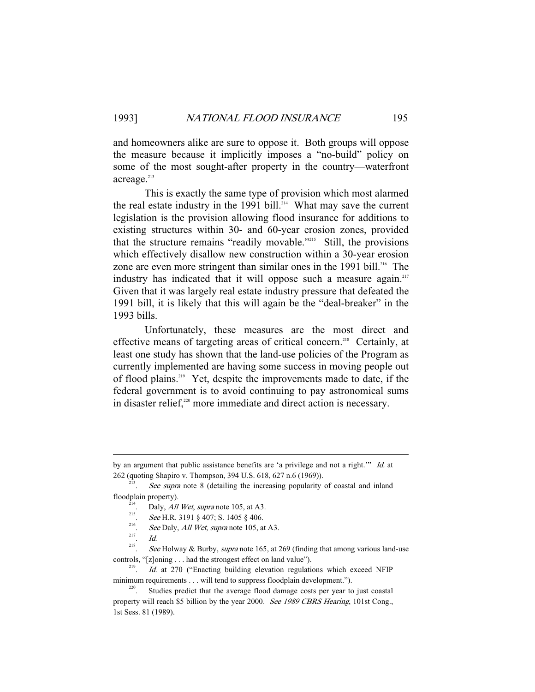and homeowners alike are sure to oppose it. Both groups will oppose the measure because it implicitly imposes a "no-build" policy on some of the most sought-after property in the country—waterfront acreage.<sup>213</sup>

 This is exactly the same type of provision which most alarmed the real estate industry in the 1991 bill.<sup>214</sup> What may save the current legislation is the provision allowing flood insurance for additions to existing structures within 30- and 60-year erosion zones, provided that the structure remains "readily movable."<sup>215</sup> Still, the provisions which effectively disallow new construction within a 30-year erosion zone are even more stringent than similar ones in the 1991 bill.<sup>216</sup> The industry has indicated that it will oppose such a measure again.<sup>217</sup> Given that it was largely real estate industry pressure that defeated the 1991 bill, it is likely that this will again be the "deal-breaker" in the 1993 bills.

 Unfortunately, these measures are the most direct and effective means of targeting areas of critical concern.<sup>218</sup> Certainly, at least one study has shown that the land-use policies of the Program as currently implemented are having some success in moving people out of flood plains.219 Yet, despite the improvements made to date, if the federal government is to avoid continuing to pay astronomical sums in disaster relief,<sup>220</sup> more immediate and direct action is necessary.

-

by an argument that public assistance benefits are 'a privilege and not a right.'" Id. at 262 (quoting Shapiro v. Thompson, 394 U.S. 618, 627 n.6 (1969)).

See supra note 8 (detailing the increasing popularity of coastal and inland

floodplain property).<br>  $2^{14}$ . Daly, *All Wet*, *supra* note 105, at A3.<br>  $215$  See U.P. 2101.8, 407, S. 1405.8, 406

<sup>&</sup>lt;sup>215</sup>. See H.R. 3191 § 407; S. 1405 § 406.

<sup>&</sup>lt;sup>216</sup>. See Daly, *All Wet, supra* note 105, at A3.

 $Id$ 

<sup>218</sup> See Holway & Burby, supra note 165, at 269 (finding that among various land-use controls, "[z]oning . . . had the strongest effect on land value").

Id. at 270 ("Enacting building elevation regulations which exceed NFIP minimum requirements . . . will tend to suppress floodplain development.").<br><sup>220</sup>. Studies predict that the average flood damage costs per year to just coastal

property will reach \$5 billion by the year 2000. See 1989 CBRS Hearing, 101st Cong., 1st Sess. 81 (1989).